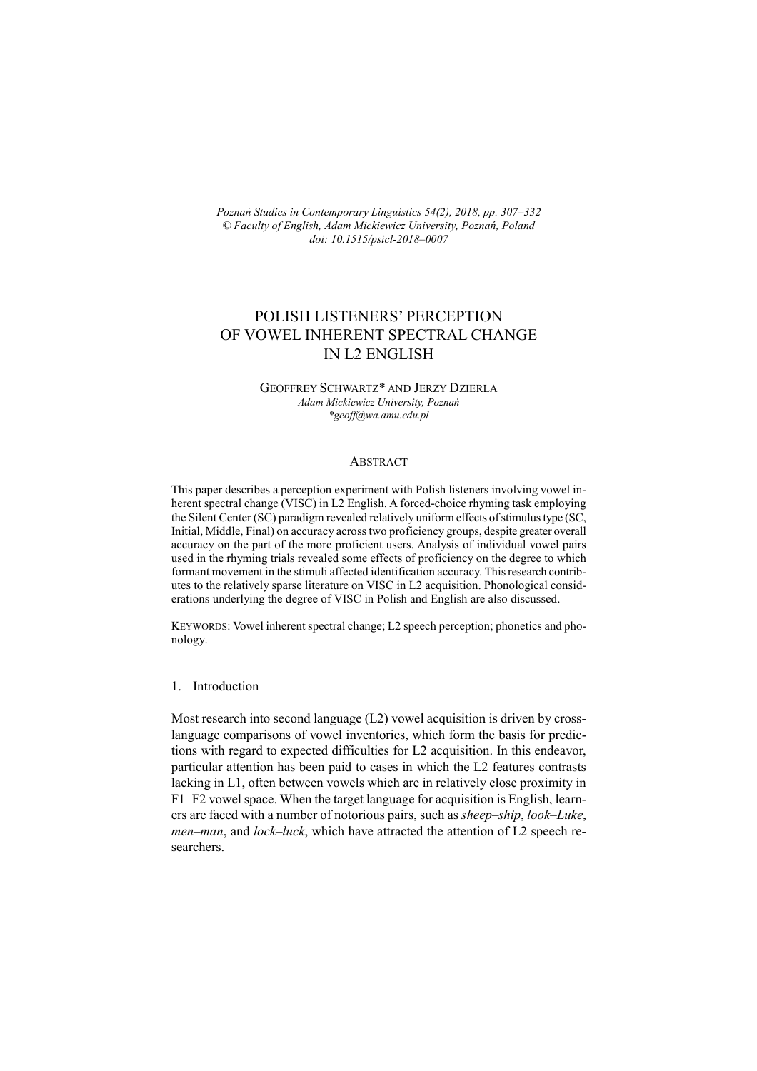*Poznań Studies in Contemporary Linguistics 54(2), 2018, pp. 307–332 © Faculty of English, Adam Mickiewicz University, Poznań, Poland doi: 10.1515/psicl-2018–0007* 

# POLISH LISTENERS' PERCEPTION OF VOWEL INHERENT SPECTRAL CHANGE IN L2 ENGLISH

GEOFFREY SCHWARTZ\* AND JERZY DZIERLA *Adam Mickiewicz University, Poznań \*geoff@wa.amu.edu.pl* 

#### **ABSTRACT**

This paper describes a perception experiment with Polish listeners involving vowel inherent spectral change (VISC) in L2 English. A forced-choice rhyming task employing the Silent Center (SC) paradigm revealed relatively uniform effects of stimulus type (SC, Initial, Middle, Final) on accuracy across two proficiency groups, despite greater overall accuracy on the part of the more proficient users. Analysis of individual vowel pairs used in the rhyming trials revealed some effects of proficiency on the degree to which formant movement in the stimuli affected identification accuracy. This research contributes to the relatively sparse literature on VISC in L2 acquisition. Phonological considerations underlying the degree of VISC in Polish and English are also discussed.

KEYWORDS: Vowel inherent spectral change; L2 speech perception; phonetics and phonology.

#### 1. Introduction

Most research into second language (L2) vowel acquisition is driven by crosslanguage comparisons of vowel inventories, which form the basis for predictions with regard to expected difficulties for L2 acquisition. In this endeavor, particular attention has been paid to cases in which the L2 features contrasts lacking in L1, often between vowels which are in relatively close proximity in F1–F2 vowel space. When the target language for acquisition is English, learners are faced with a number of notorious pairs, such as *sheep–ship*, *look–Luke*, *men–man*, and *lock–luck*, which have attracted the attention of L2 speech researchers.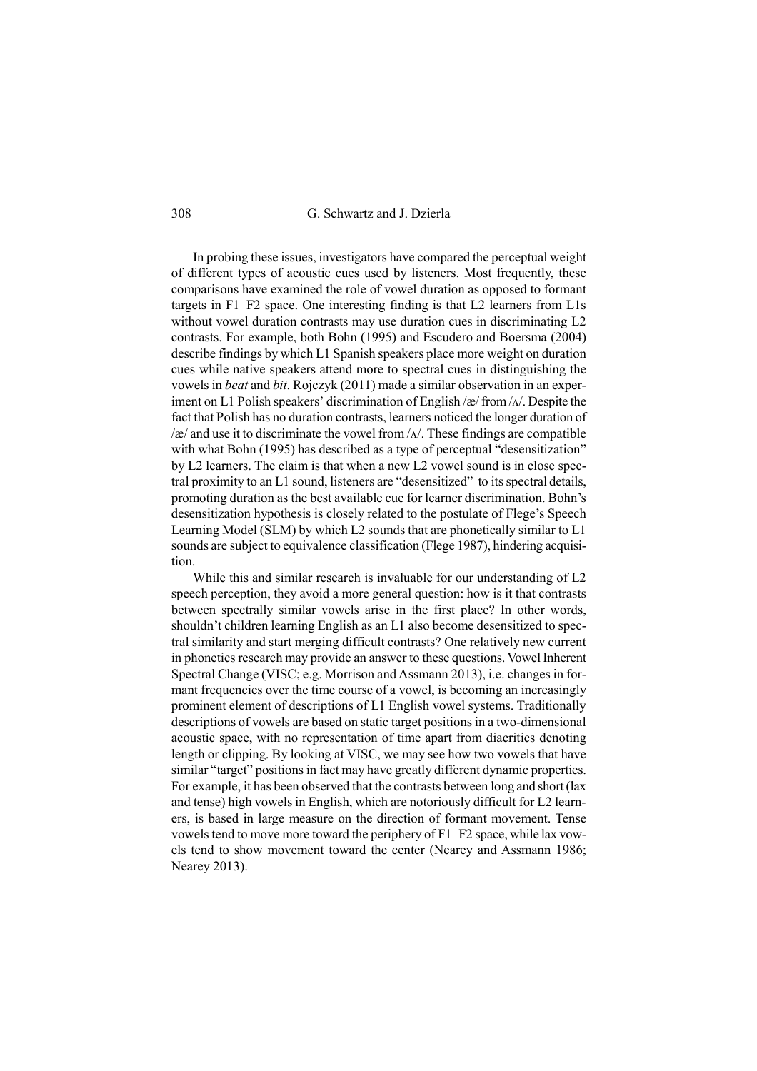In probing these issues, investigators have compared the perceptual weight of different types of acoustic cues used by listeners. Most frequently, these comparisons have examined the role of vowel duration as opposed to formant targets in F1–F2 space. One interesting finding is that L2 learners from L1s without vowel duration contrasts may use duration cues in discriminating L2 contrasts. For example, both Bohn (1995) and Escudero and Boersma (2004) describe findings by which L1 Spanish speakers place more weight on duration cues while native speakers attend more to spectral cues in distinguishing the vowels in *beat* and *bit*. Rojczyk (2011) made a similar observation in an experiment on L1 Polish speakers' discrimination of English /æ/ from /ʌ/. Despite the fact that Polish has no duration contrasts, learners noticed the longer duration of  $\alpha$  and use it to discriminate the vowel from  $\Lambda$ . These findings are compatible with what Bohn (1995) has described as a type of perceptual "desensitization" by L2 learners. The claim is that when a new L2 vowel sound is in close spectral proximity to an L1 sound, listeners are "desensitized" to its spectral details, promoting duration as the best available cue for learner discrimination. Bohn's desensitization hypothesis is closely related to the postulate of Flege's Speech Learning Model (SLM) by which L2 sounds that are phonetically similar to L1 sounds are subject to equivalence classification (Flege 1987), hindering acquisition.

While this and similar research is invaluable for our understanding of L2 speech perception, they avoid a more general question: how is it that contrasts between spectrally similar vowels arise in the first place? In other words, shouldn't children learning English as an L1 also become desensitized to spectral similarity and start merging difficult contrasts? One relatively new current in phonetics research may provide an answer to these questions. Vowel Inherent Spectral Change (VISC; e.g. Morrison and Assmann 2013), i.e. changes in formant frequencies over the time course of a vowel, is becoming an increasingly prominent element of descriptions of L1 English vowel systems. Traditionally descriptions of vowels are based on static target positions in a two-dimensional acoustic space, with no representation of time apart from diacritics denoting length or clipping. By looking at VISC, we may see how two vowels that have similar "target" positions in fact may have greatly different dynamic properties. For example, it has been observed that the contrasts between long and short (lax and tense) high vowels in English, which are notoriously difficult for L2 learners, is based in large measure on the direction of formant movement. Tense vowels tend to move more toward the periphery of F1–F2 space, while lax vowels tend to show movement toward the center (Nearey and Assmann 1986; Nearey 2013).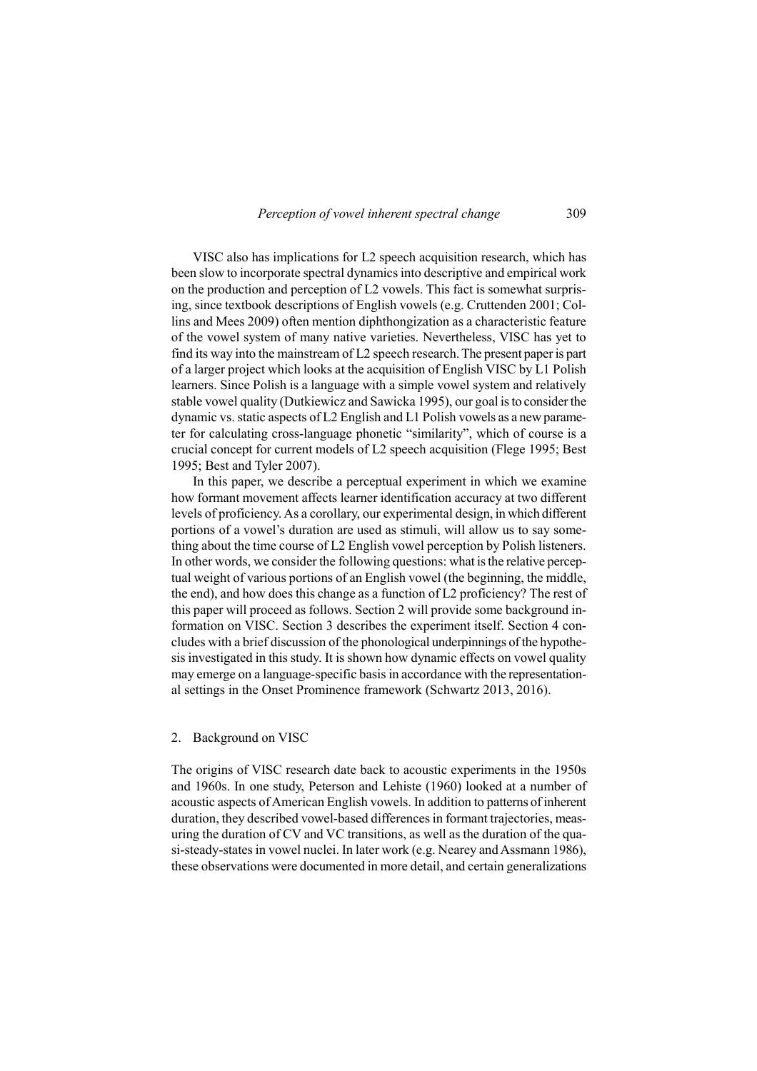VISC also has implications for L2 speech acquisition research, which has been slow to incorporate spectral dynamics into descriptive and empirical work on the production and perception of L2 vowels. This fact is somewhat surprising, since textbook descriptions of English vowels (e.g. Cruttenden 2001; Collins and Mees 2009) often mention diphthongization as a characteristic feature of the vowel system of many native varieties. Nevertheless, VISC has yet to find its way into the mainstream of L2 speech research. The present paper is part of a larger project which looks at the acquisition of English VISC by L1 Polish learners. Since Polish is a language with a simple vowel system and relatively stable vowel quality (Dutkiewicz and Sawicka 1995), our goal is to consider the dynamic vs. static aspects of L2 English and L1 Polish vowels as a new parameter for calculating cross-language phonetic "similarity", which of course is a crucial concept for current models of L2 speech acquisition (Flege 1995; Best 1995; Best and Tyler 2007).

In this paper, we describe a perceptual experiment in which we examine how formant movement affects learner identification accuracy at two different levels of proficiency. As a corollary, our experimental design, in which different portions of a vowel's duration are used as stimuli, will allow us to say something about the time course of L2 English vowel perception by Polish listeners. In other words, we consider the following questions: what is the relative perceptual weight of various portions of an English vowel (the beginning, the middle, the end), and how does this change as a function of L2 proficiency? The rest of this paper will proceed as follows. Section 2 will provide some background information on VISC. Section 3 describes the experiment itself. Section 4 concludes with a brief discussion of the phonological underpinnings of the hypothesis investigated in this study. It is shown how dynamic effects on vowel quality may emerge on a language-specific basis in accordance with the representational settings in the Onset Prominence framework (Schwartz 2013, 2016).

#### 2. Background on VISC

The origins of VISC research date back to acoustic experiments in the 1950s and 1960s. In one study, Peterson and Lehiste (1960) looked at a number of acoustic aspects of American English vowels. In addition to patterns of inherent duration, they described vowel-based differences in formant trajectories, measuring the duration of CV and VC transitions, as well as the duration of the quasi-steady-states in vowel nuclei. In later work (e.g. Nearey and Assmann 1986), these observations were documented in more detail, and certain generalizations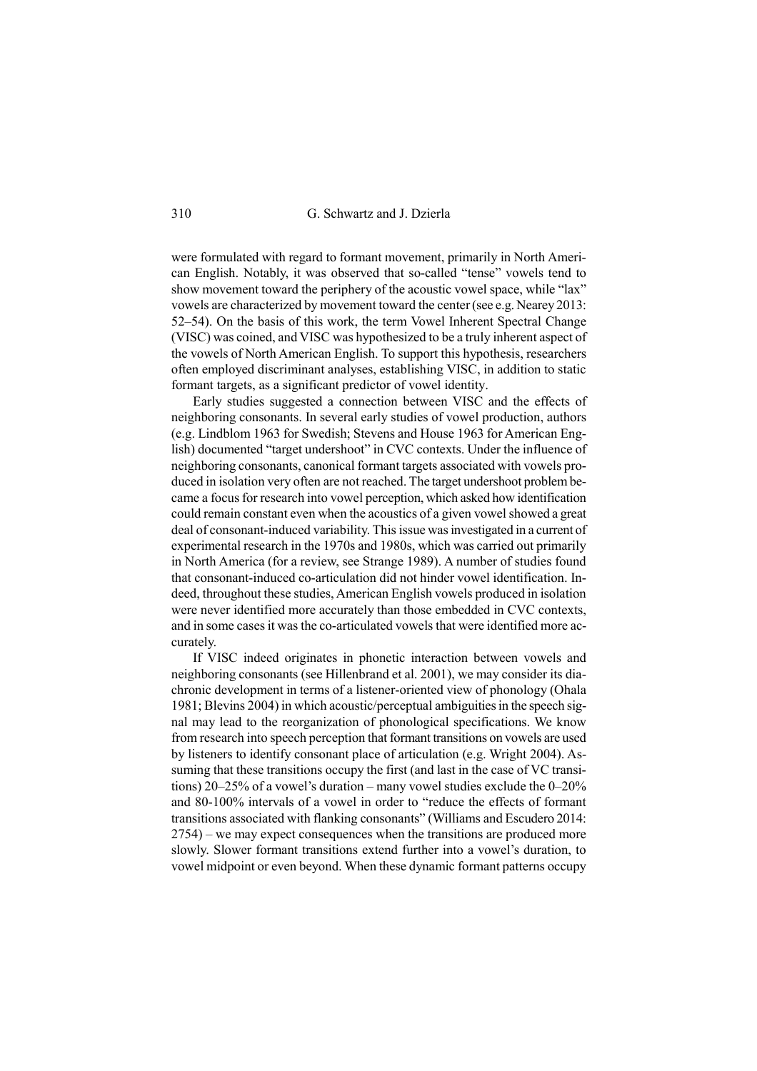were formulated with regard to formant movement, primarily in North American English. Notably, it was observed that so-called "tense" vowels tend to show movement toward the periphery of the acoustic vowel space, while "lax" vowels are characterized by movement toward the center (see e.g. Nearey 2013: 52–54). On the basis of this work, the term Vowel Inherent Spectral Change (VISC) was coined, and VISC was hypothesized to be a truly inherent aspect of the vowels of North American English. To support this hypothesis, researchers often employed discriminant analyses, establishing VISC, in addition to static formant targets, as a significant predictor of vowel identity.

Early studies suggested a connection between VISC and the effects of neighboring consonants. In several early studies of vowel production, authors (e.g. Lindblom 1963 for Swedish; Stevens and House 1963 for American English) documented "target undershoot" in CVC contexts. Under the influence of neighboring consonants, canonical formant targets associated with vowels produced in isolation very often are not reached. The target undershoot problem became a focus for research into vowel perception, which asked how identification could remain constant even when the acoustics of a given vowel showed a great deal of consonant-induced variability. This issue was investigated in a current of experimental research in the 1970s and 1980s, which was carried out primarily in North America (for a review, see Strange 1989). A number of studies found that consonant-induced co-articulation did not hinder vowel identification. Indeed, throughout these studies, American English vowels produced in isolation were never identified more accurately than those embedded in CVC contexts, and in some cases it was the co-articulated vowels that were identified more accurately.

If VISC indeed originates in phonetic interaction between vowels and neighboring consonants (see Hillenbrand et al. 2001), we may consider its diachronic development in terms of a listener-oriented view of phonology (Ohala 1981; Blevins 2004) in which acoustic/perceptual ambiguities in the speech signal may lead to the reorganization of phonological specifications. We know from research into speech perception that formant transitions on vowels are used by listeners to identify consonant place of articulation (e.g. Wright 2004). Assuming that these transitions occupy the first (and last in the case of VC transitions) 20–25% of a vowel's duration – many vowel studies exclude the 0–20% and 80-100% intervals of a vowel in order to "reduce the effects of formant transitions associated with flanking consonants" (Williams and Escudero 2014: 2754) – we may expect consequences when the transitions are produced more slowly. Slower formant transitions extend further into a vowel's duration, to vowel midpoint or even beyond. When these dynamic formant patterns occupy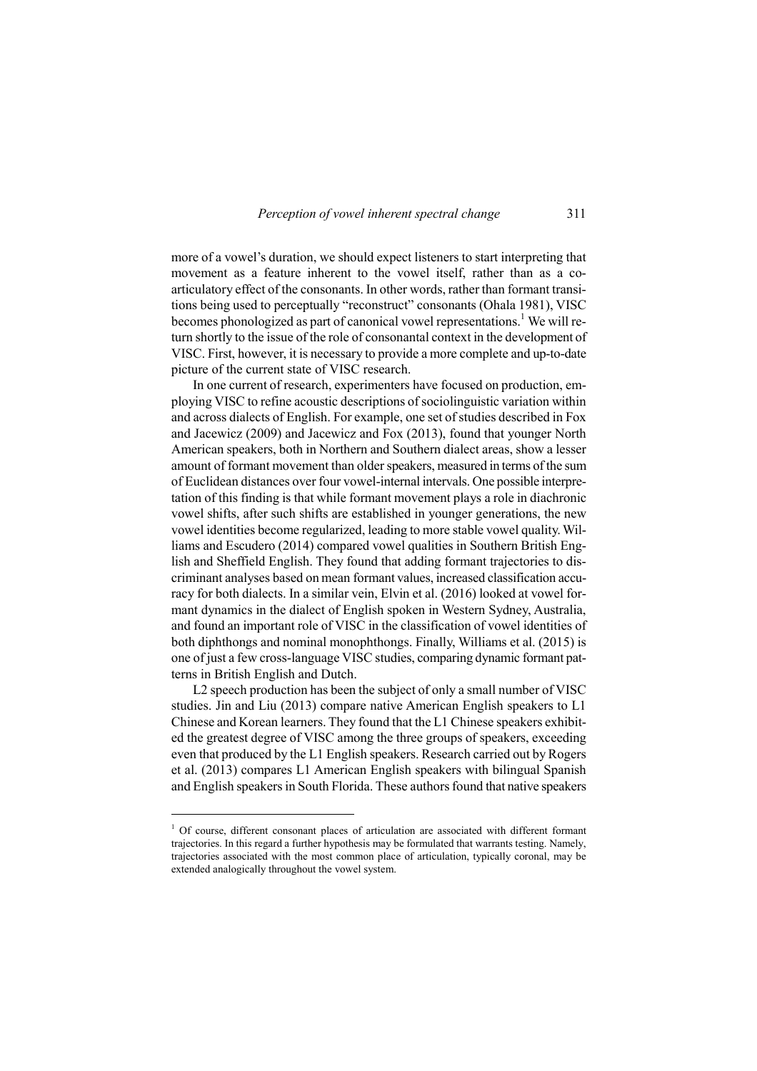more of a vowel's duration, we should expect listeners to start interpreting that movement as a feature inherent to the vowel itself, rather than as a coarticulatory effect of the consonants. In other words, rather than formant transitions being used to perceptually "reconstruct" consonants (Ohala 1981), VISC becomes phonologized as part of canonical vowel representations.<sup>1</sup> We will return shortly to the issue of the role of consonantal context in the development of VISC. First, however, it is necessary to provide a more complete and up-to-date picture of the current state of VISC research.

In one current of research, experimenters have focused on production, employing VISC to refine acoustic descriptions of sociolinguistic variation within and across dialects of English. For example, one set of studies described in Fox and Jacewicz (2009) and Jacewicz and Fox (2013), found that younger North American speakers, both in Northern and Southern dialect areas, show a lesser amount of formant movement than older speakers, measured in terms of the sum of Euclidean distances over four vowel-internal intervals. One possible interpretation of this finding is that while formant movement plays a role in diachronic vowel shifts, after such shifts are established in younger generations, the new vowel identities become regularized, leading to more stable vowel quality. Williams and Escudero (2014) compared vowel qualities in Southern British English and Sheffield English. They found that adding formant trajectories to discriminant analyses based on mean formant values, increased classification accuracy for both dialects. In a similar vein, Elvin et al. (2016) looked at vowel formant dynamics in the dialect of English spoken in Western Sydney, Australia, and found an important role of VISC in the classification of vowel identities of both diphthongs and nominal monophthongs. Finally, Williams et al. (2015) is one of just a few cross-language VISC studies, comparing dynamic formant patterns in British English and Dutch.

L2 speech production has been the subject of only a small number of VISC studies. Jin and Liu (2013) compare native American English speakers to L1 Chinese and Korean learners. They found that the L1 Chinese speakers exhibited the greatest degree of VISC among the three groups of speakers, exceeding even that produced by the L1 English speakers. Research carried out by Rogers et al. (2013) compares L1 American English speakers with bilingual Spanish and English speakers in South Florida. These authors found that native speakers

-

<sup>&</sup>lt;sup>1</sup> Of course, different consonant places of articulation are associated with different formant trajectories. In this regard a further hypothesis may be formulated that warrants testing. Namely, trajectories associated with the most common place of articulation, typically coronal, may be extended analogically throughout the vowel system.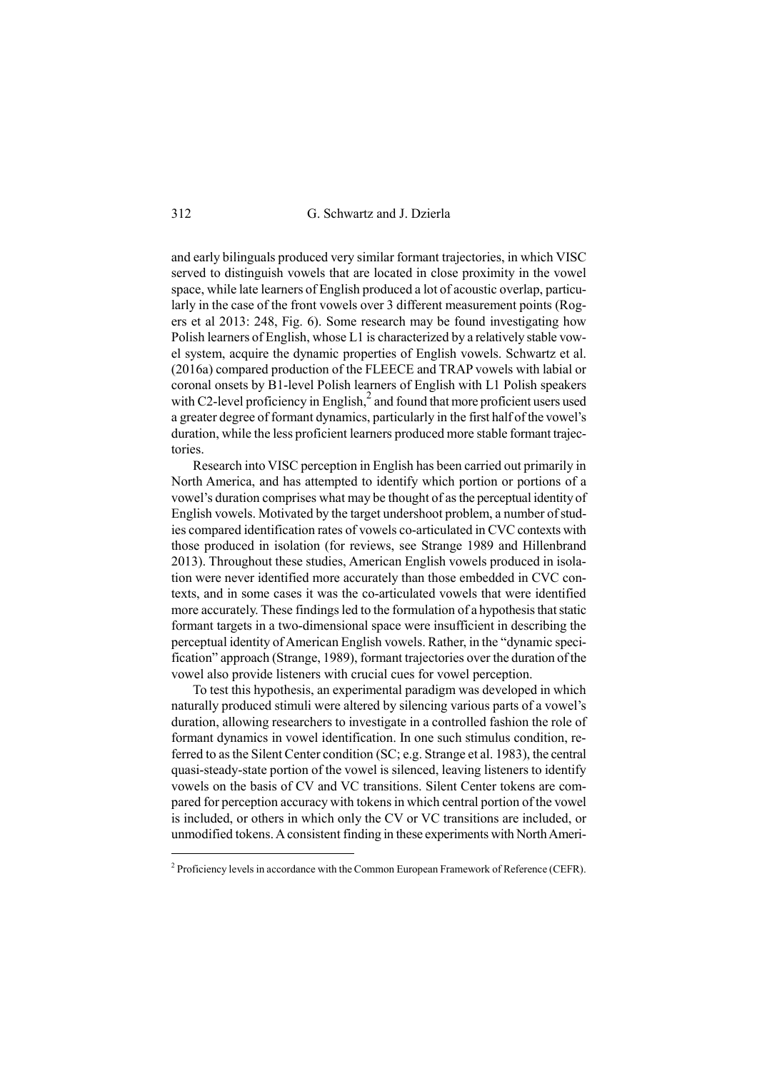and early bilinguals produced very similar formant trajectories, in which VISC served to distinguish vowels that are located in close proximity in the vowel space, while late learners of English produced a lot of acoustic overlap, particularly in the case of the front vowels over 3 different measurement points (Rogers et al 2013: 248, Fig. 6). Some research may be found investigating how Polish learners of English, whose L1 is characterized by a relatively stable vowel system, acquire the dynamic properties of English vowels. Schwartz et al. (2016a) compared production of the FLEECE and TRAP vowels with labial or coronal onsets by B1-level Polish learners of English with L1 Polish speakers with C2-level proficiency in English, $^2$  and found that more proficient users used a greater degree of formant dynamics, particularly in the first half of the vowel's duration, while the less proficient learners produced more stable formant trajectories.

Research into VISC perception in English has been carried out primarily in North America, and has attempted to identify which portion or portions of a vowel's duration comprises what may be thought of as the perceptual identity of English vowels. Motivated by the target undershoot problem, a number of studies compared identification rates of vowels co-articulated in CVC contexts with those produced in isolation (for reviews, see Strange 1989 and Hillenbrand 2013). Throughout these studies, American English vowels produced in isolation were never identified more accurately than those embedded in CVC contexts, and in some cases it was the co-articulated vowels that were identified more accurately. These findings led to the formulation of a hypothesis that static formant targets in a two-dimensional space were insufficient in describing the perceptual identity of American English vowels. Rather, in the "dynamic specification" approach (Strange, 1989), formant trajectories over the duration of the vowel also provide listeners with crucial cues for vowel perception.

To test this hypothesis, an experimental paradigm was developed in which naturally produced stimuli were altered by silencing various parts of a vowel's duration, allowing researchers to investigate in a controlled fashion the role of formant dynamics in vowel identification. In one such stimulus condition, referred to as the Silent Center condition (SC; e.g. Strange et al. 1983), the central quasi-steady-state portion of the vowel is silenced, leaving listeners to identify vowels on the basis of CV and VC transitions. Silent Center tokens are compared for perception accuracy with tokens in which central portion of the vowel is included, or others in which only the CV or VC transitions are included, or unmodified tokens. A consistent finding in these experiments with North Ameri-

-

 $2$  Proficiency levels in accordance with the Common European Framework of Reference (CEFR).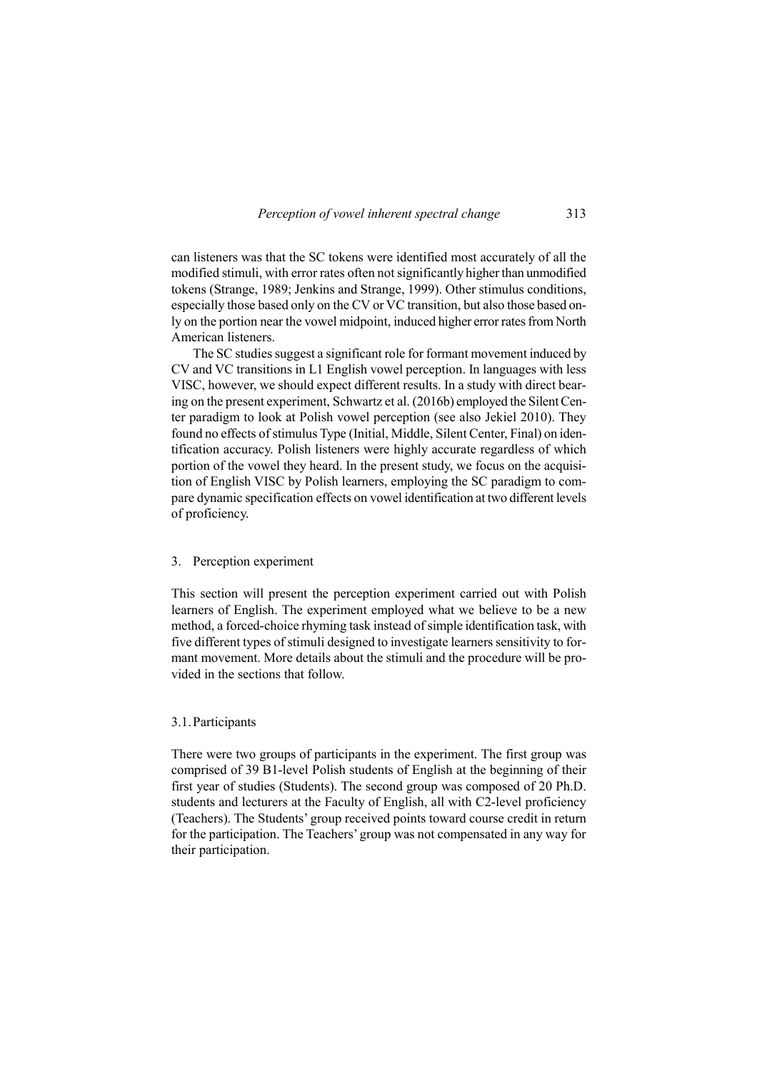can listeners was that the SC tokens were identified most accurately of all the modified stimuli, with error rates often not significantly higher than unmodified tokens (Strange, 1989; Jenkins and Strange, 1999). Other stimulus conditions, especially those based only on the CV or VC transition, but also those based only on the portion near the vowel midpoint, induced higher error rates from North American listeners.

The SC studies suggest a significant role for formant movement induced by CV and VC transitions in L1 English vowel perception. In languages with less VISC, however, we should expect different results. In a study with direct bearing on the present experiment, Schwartz et al. (2016b) employed the Silent Center paradigm to look at Polish vowel perception (see also Jekiel 2010). They found no effects of stimulus Type (Initial, Middle, Silent Center, Final) on identification accuracy. Polish listeners were highly accurate regardless of which portion of the vowel they heard. In the present study, we focus on the acquisition of English VISC by Polish learners, employing the SC paradigm to compare dynamic specification effects on vowel identification at two different levels of proficiency.

#### 3. Perception experiment

This section will present the perception experiment carried out with Polish learners of English. The experiment employed what we believe to be a new method, a forced-choice rhyming task instead of simple identification task, with five different types of stimuli designed to investigate learners sensitivity to formant movement. More details about the stimuli and the procedure will be provided in the sections that follow.

#### 3.1.Participants

There were two groups of participants in the experiment. The first group was comprised of 39 B1-level Polish students of English at the beginning of their first year of studies (Students). The second group was composed of 20 Ph.D. students and lecturers at the Faculty of English, all with C2-level proficiency (Teachers). The Students' group received points toward course credit in return for the participation. The Teachers' group was not compensated in any way for their participation.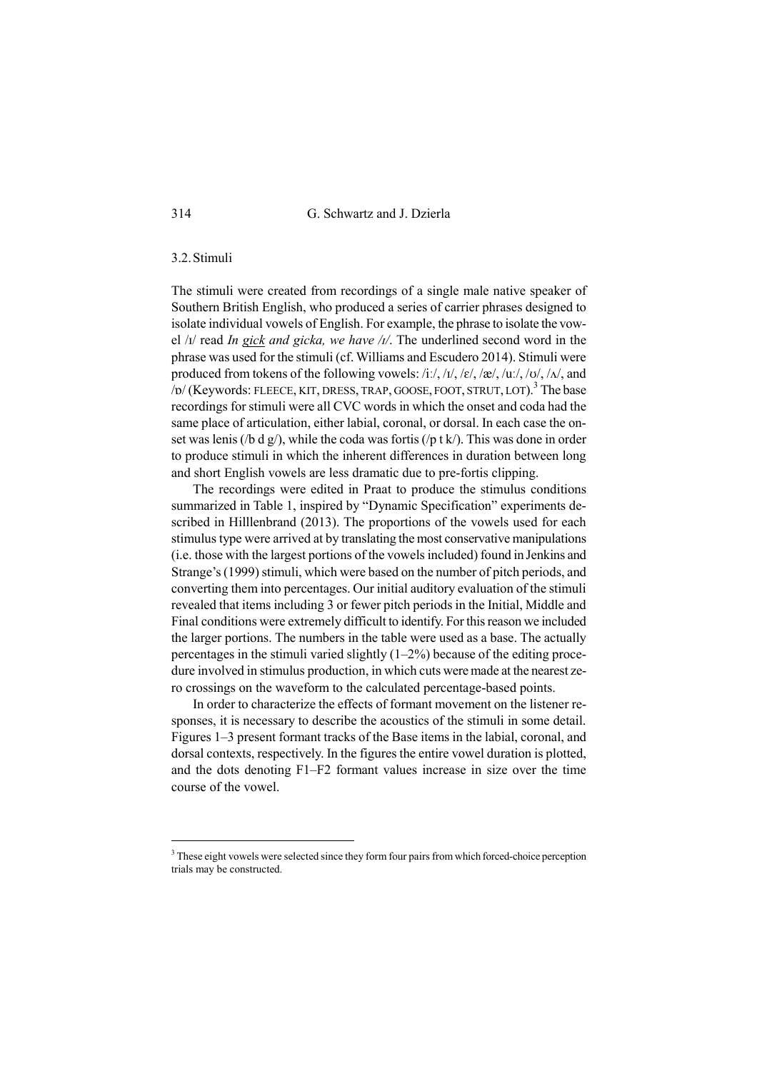### 3.2.Stimuli

The stimuli were created from recordings of a single male native speaker of Southern British English, who produced a series of carrier phrases designed to isolate individual vowels of English. For example, the phrase to isolate the vowel /ɪ/ read *In gick and gicka, we have /ɪ/*. The underlined second word in the phrase was used for the stimuli (cf. Williams and Escudero 2014). Stimuli were produced from tokens of the following vowels: /iː/, /ɪ/, /ɛ/, /æ/, /uː/, /ʊ/, /ʌ/, and /ɒ/ (Keywords: FLEECE, KIT, DRESS, TRAP, GOOSE, FOOT, STRUT, LOT).<sup>3</sup> The base recordings for stimuli were all CVC words in which the onset and coda had the same place of articulation, either labial, coronal, or dorsal. In each case the onset was lenis (/b d g/), while the coda was fortis (/p t k/). This was done in order to produce stimuli in which the inherent differences in duration between long and short English vowels are less dramatic due to pre-fortis clipping.

The recordings were edited in Praat to produce the stimulus conditions summarized in Table 1, inspired by "Dynamic Specification" experiments described in Hilllenbrand (2013). The proportions of the vowels used for each stimulus type were arrived at by translating the most conservative manipulations (i.e. those with the largest portions of the vowels included) found in Jenkins and Strange's (1999) stimuli, which were based on the number of pitch periods, and converting them into percentages. Our initial auditory evaluation of the stimuli revealed that items including 3 or fewer pitch periods in the Initial, Middle and Final conditions were extremely difficult to identify. For this reason we included the larger portions. The numbers in the table were used as a base. The actually percentages in the stimuli varied slightly  $(1-2\%)$  because of the editing procedure involved in stimulus production, in which cuts were made at the nearest zero crossings on the waveform to the calculated percentage-based points.

In order to characterize the effects of formant movement on the listener responses, it is necessary to describe the acoustics of the stimuli in some detail. Figures 1–3 present formant tracks of the Base items in the labial, coronal, and dorsal contexts, respectively. In the figures the entire vowel duration is plotted, and the dots denoting F1–F2 formant values increase in size over the time course of the vowel.

-

<sup>&</sup>lt;sup>3</sup> These eight vowels were selected since they form four pairs from which forced-choice perception trials may be constructed.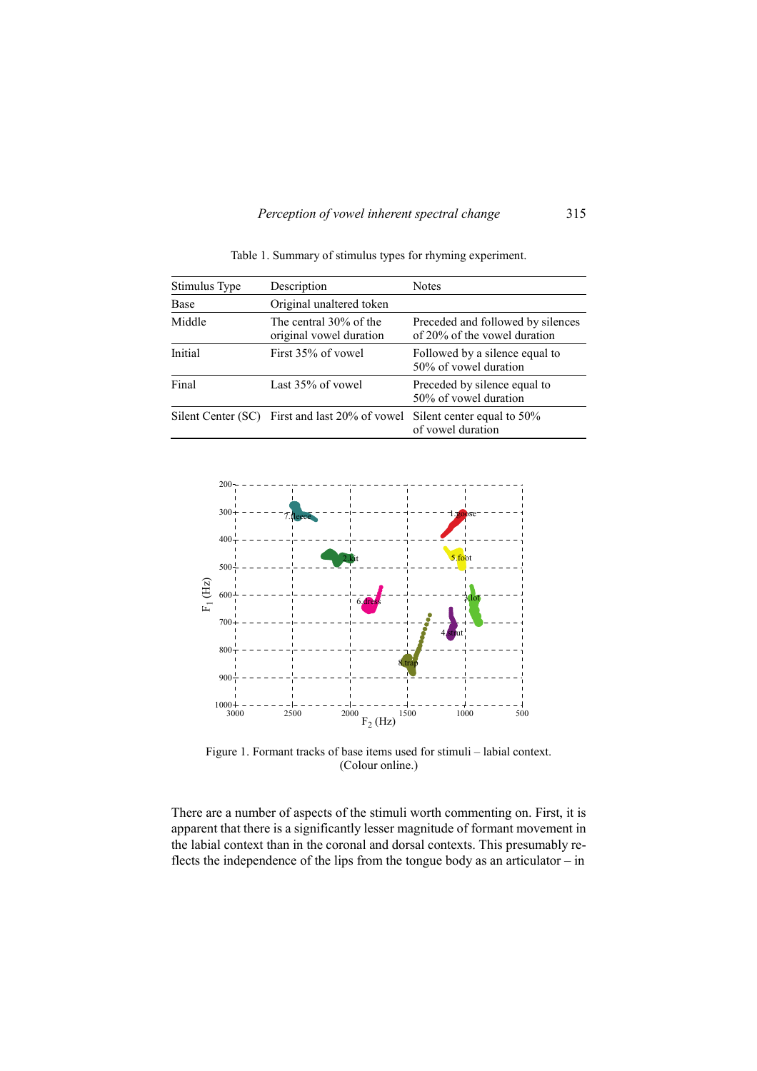| Stimulus Type | Description                                       | <b>Notes</b>                                                      |
|---------------|---------------------------------------------------|-------------------------------------------------------------------|
| <b>Base</b>   | Original unaltered token                          |                                                                   |
| Middle        | The central 30% of the<br>original vowel duration | Preceded and followed by silences<br>of 20% of the vowel duration |
| Initial       | First 35% of yowel                                | Followed by a silence equal to<br>50% of yowel duration           |
| Final         | Last 35% of yowel                                 | Preceded by silence equal to<br>50% of vowel duration             |
|               | Silent Center (SC) First and last 20% of vowel    | Silent center equal to 50%<br>of vowel duration                   |

Table 1. Summary of stimulus types for rhyming experiment.



Figure 1. Formant tracks of base items used for stimuli – labial context. (Colour online.)

There are a number of aspects of the stimuli worth commenting on. First, it is apparent that there is a significantly lesser magnitude of formant movement in the labial context than in the coronal and dorsal contexts. This presumably reflects the independence of the lips from the tongue body as an articulator – in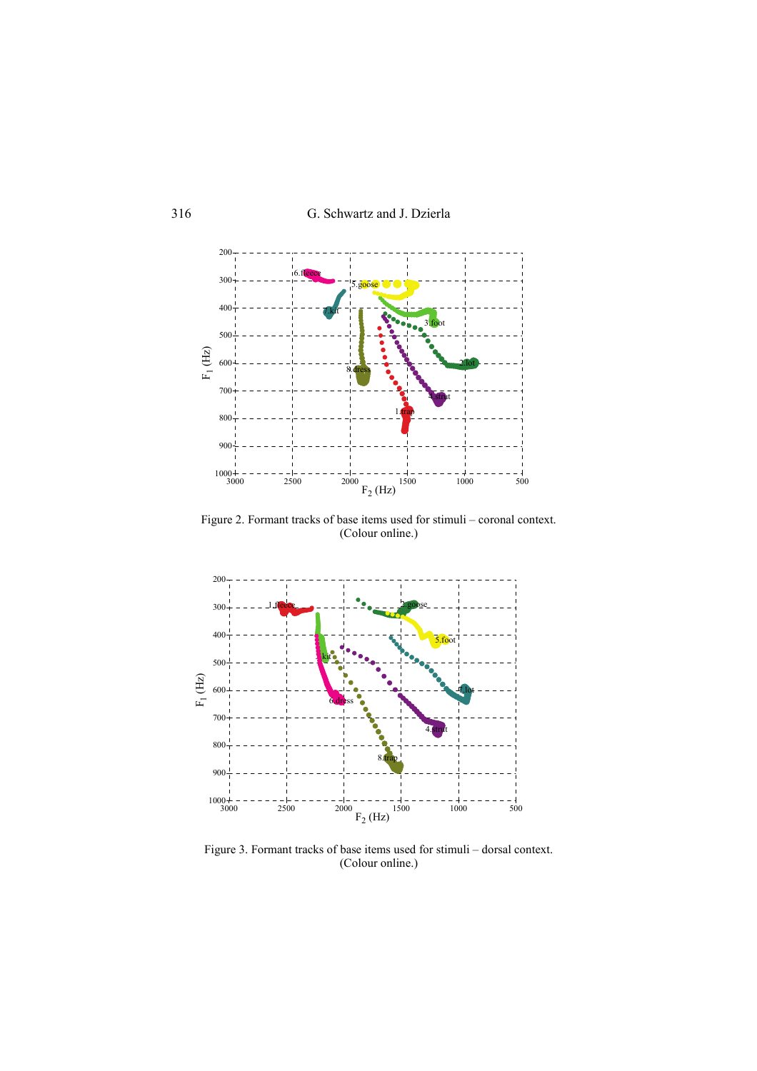

Figure 2. Formant tracks of base items used for stimuli – coronal context. (Colour online.)



Figure 3. Formant tracks of base items used for stimuli – dorsal context. (Colour online.)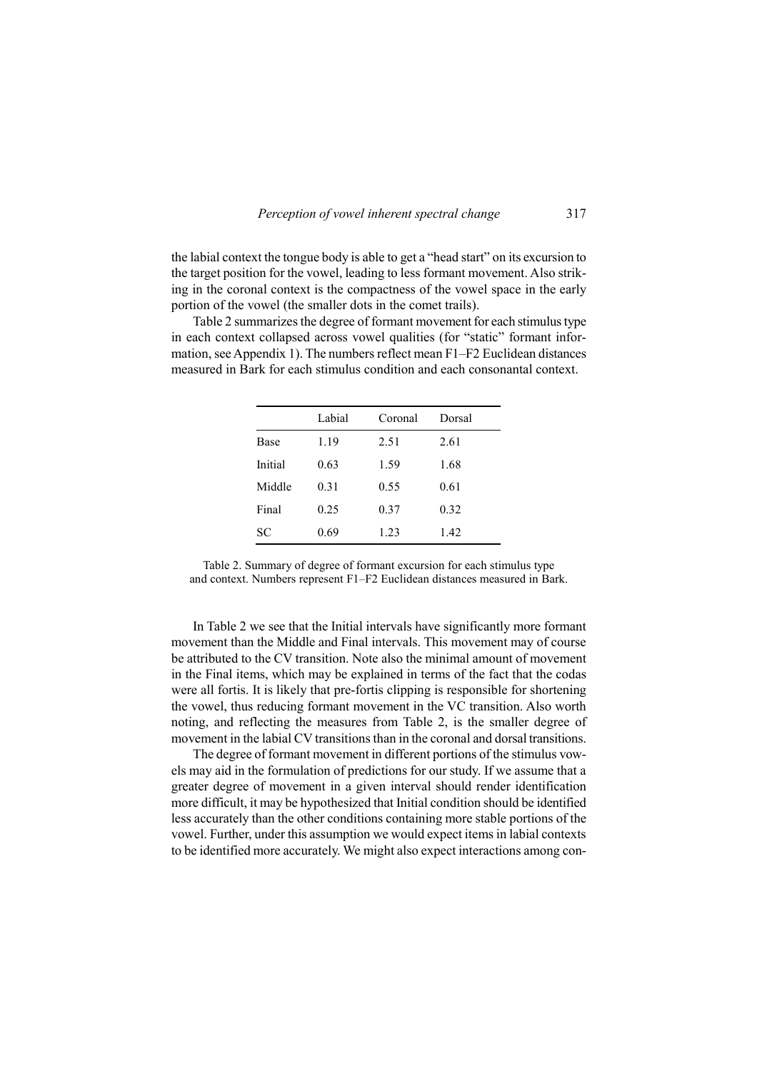the labial context the tongue body is able to get a "head start" on its excursion to the target position for the vowel, leading to less formant movement. Also striking in the coronal context is the compactness of the vowel space in the early portion of the vowel (the smaller dots in the comet trails).

Table 2 summarizes the degree of formant movement for each stimulus type in each context collapsed across vowel qualities (for "static" formant information, see Appendix 1). The numbers reflect mean F1–F2 Euclidean distances measured in Bark for each stimulus condition and each consonantal context.

|         | Labial | Coronal | Dorsal |
|---------|--------|---------|--------|
| Base    | 1.19   | 2.51    | 2.61   |
| Initial | 0.63   | 1.59    | 1.68   |
| Middle  | 0.31   | 0.55    | 0.61   |
| Final   | 0.25   | 0.37    | 0.32   |
| SС      | 0.69   | 1.23    | 1.42   |

Table 2. Summary of degree of formant excursion for each stimulus type and context. Numbers represent F1–F2 Euclidean distances measured in Bark.

In Table 2 we see that the Initial intervals have significantly more formant movement than the Middle and Final intervals. This movement may of course be attributed to the CV transition. Note also the minimal amount of movement in the Final items, which may be explained in terms of the fact that the codas were all fortis. It is likely that pre-fortis clipping is responsible for shortening the vowel, thus reducing formant movement in the VC transition. Also worth noting, and reflecting the measures from Table 2, is the smaller degree of movement in the labial CV transitions than in the coronal and dorsal transitions.

The degree of formant movement in different portions of the stimulus vowels may aid in the formulation of predictions for our study. If we assume that a greater degree of movement in a given interval should render identification more difficult, it may be hypothesized that Initial condition should be identified less accurately than the other conditions containing more stable portions of the vowel. Further, under this assumption we would expect items in labial contexts to be identified more accurately. We might also expect interactions among con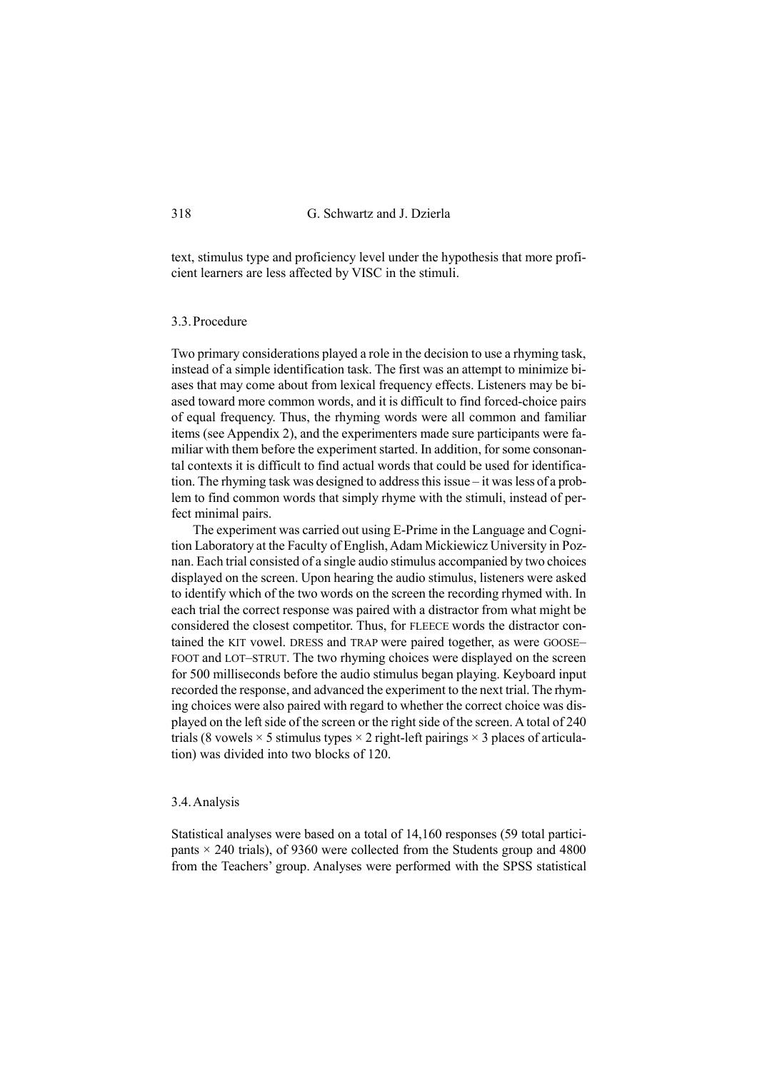text, stimulus type and proficiency level under the hypothesis that more proficient learners are less affected by VISC in the stimuli.

## 3.3.Procedure

Two primary considerations played a role in the decision to use a rhyming task, instead of a simple identification task. The first was an attempt to minimize biases that may come about from lexical frequency effects. Listeners may be biased toward more common words, and it is difficult to find forced-choice pairs of equal frequency. Thus, the rhyming words were all common and familiar items (see Appendix 2), and the experimenters made sure participants were familiar with them before the experiment started. In addition, for some consonantal contexts it is difficult to find actual words that could be used for identification. The rhyming task was designed to address this issue – it was less of a problem to find common words that simply rhyme with the stimuli, instead of perfect minimal pairs.

The experiment was carried out using E-Prime in the Language and Cognition Laboratory at the Faculty of English, Adam Mickiewicz University in Poznan. Each trial consisted of a single audio stimulus accompanied by two choices displayed on the screen. Upon hearing the audio stimulus, listeners were asked to identify which of the two words on the screen the recording rhymed with. In each trial the correct response was paired with a distractor from what might be considered the closest competitor. Thus, for FLEECE words the distractor contained the KIT vowel. DRESS and TRAP were paired together, as were GOOSE– FOOT and LOT–STRUT. The two rhyming choices were displayed on the screen for 500 milliseconds before the audio stimulus began playing. Keyboard input recorded the response, and advanced the experiment to the next trial. The rhyming choices were also paired with regard to whether the correct choice was displayed on the left side of the screen or the right side of the screen. A total of 240 trials (8 vowels  $\times$  5 stimulus types  $\times$  2 right-left pairings  $\times$  3 places of articulation) was divided into two blocks of 120.

#### 3.4.Analysis

Statistical analyses were based on a total of 14,160 responses (59 total participants  $\times$  240 trials), of 9360 were collected from the Students group and 4800 from the Teachers' group. Analyses were performed with the SPSS statistical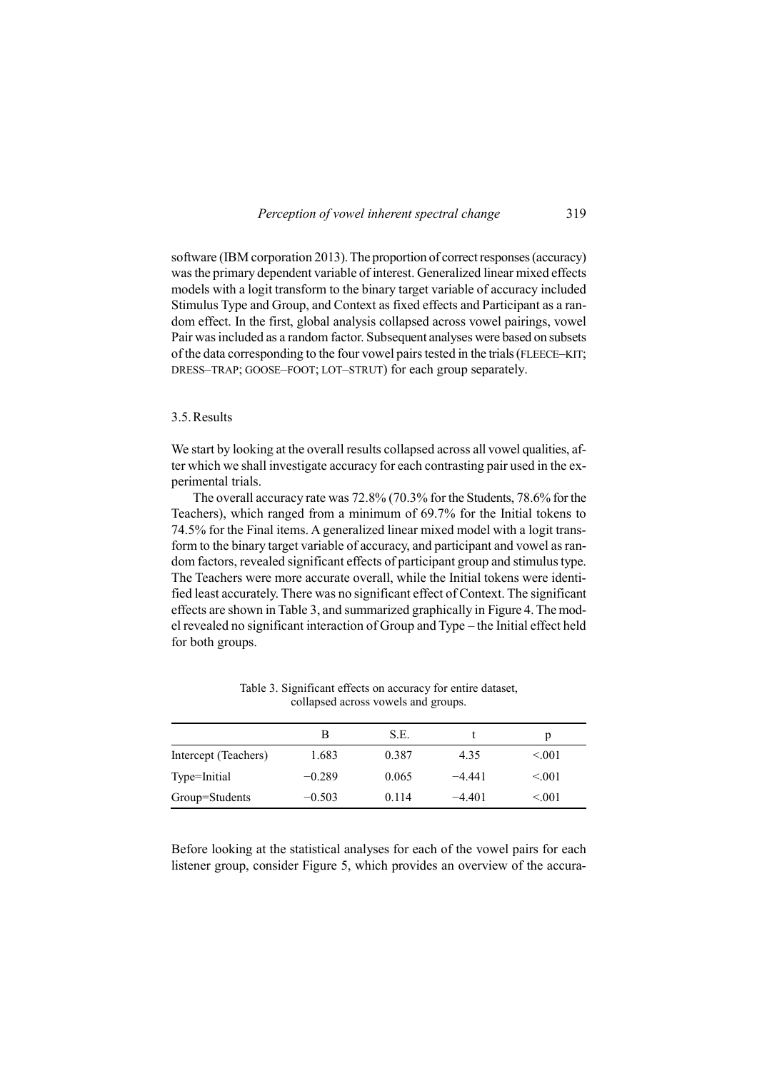software (IBM corporation 2013). The proportion of correct responses (accuracy) was the primary dependent variable of interest. Generalized linear mixed effects models with a logit transform to the binary target variable of accuracy included Stimulus Type and Group, and Context as fixed effects and Participant as a random effect. In the first, global analysis collapsed across vowel pairings, vowel Pair was included as a random factor. Subsequent analyses were based on subsets of the data corresponding to the four vowel pairs tested in the trials (FLEECE–KIT; DRESS–TRAP; GOOSE–FOOT; LOT–STRUT) for each group separately.

### 3.5.Results

We start by looking at the overall results collapsed across all vowel qualities, after which we shall investigate accuracy for each contrasting pair used in the experimental trials.

The overall accuracy rate was 72.8% (70.3% for the Students, 78.6% for the Teachers), which ranged from a minimum of 69.7% for the Initial tokens to 74.5% for the Final items. A generalized linear mixed model with a logit transform to the binary target variable of accuracy, and participant and vowel as random factors, revealed significant effects of participant group and stimulus type. The Teachers were more accurate overall, while the Initial tokens were identified least accurately. There was no significant effect of Context. The significant effects are shown in Table 3, and summarized graphically in Figure 4. The model revealed no significant interaction of Group and Type – the Initial effect held for both groups.

|                      | В        | S.E.  |          | p       |  |
|----------------------|----------|-------|----------|---------|--|
| Intercept (Teachers) | 1.683    | 0.387 | 4.35     | < 0.001 |  |
| Type=Initial         | $-0.289$ | 0.065 | $-4.441$ | < 0.01  |  |
| Group=Students       | $-0.503$ | 0.114 | $-4.401$ | < 0.01  |  |

Table 3. Significant effects on accuracy for entire dataset, collapsed across vowels and groups.

Before looking at the statistical analyses for each of the vowel pairs for each listener group, consider Figure 5, which provides an overview of the accura-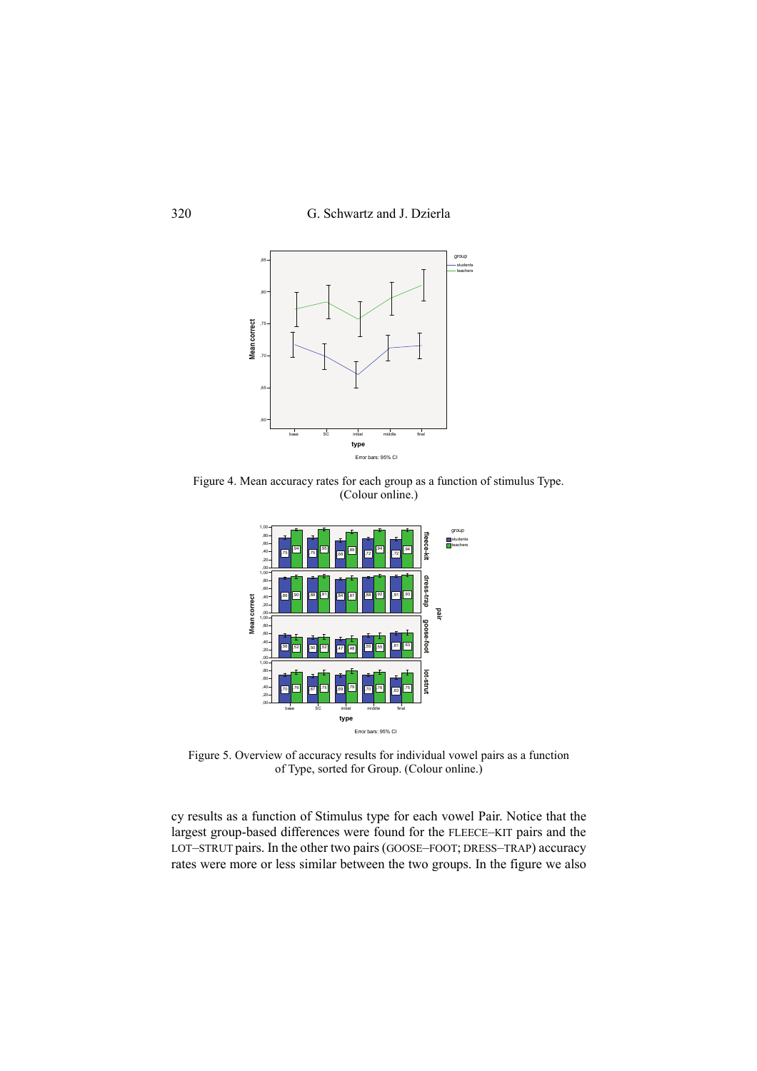

Figure 4. Mean accuracy rates for each group as a function of stimulus Type. (Colour online.)



Figure 5. Overview of accuracy results for individual vowel pairs as a function of Type, sorted for Group. (Colour online.)

cy results as a function of Stimulus type for each vowel Pair. Notice that the largest group-based differences were found for the FLEECE–KIT pairs and the LOT–STRUT pairs. In the other two pairs (GOOSE–FOOT; DRESS–TRAP) accuracy rates were more or less similar between the two groups. In the figure we also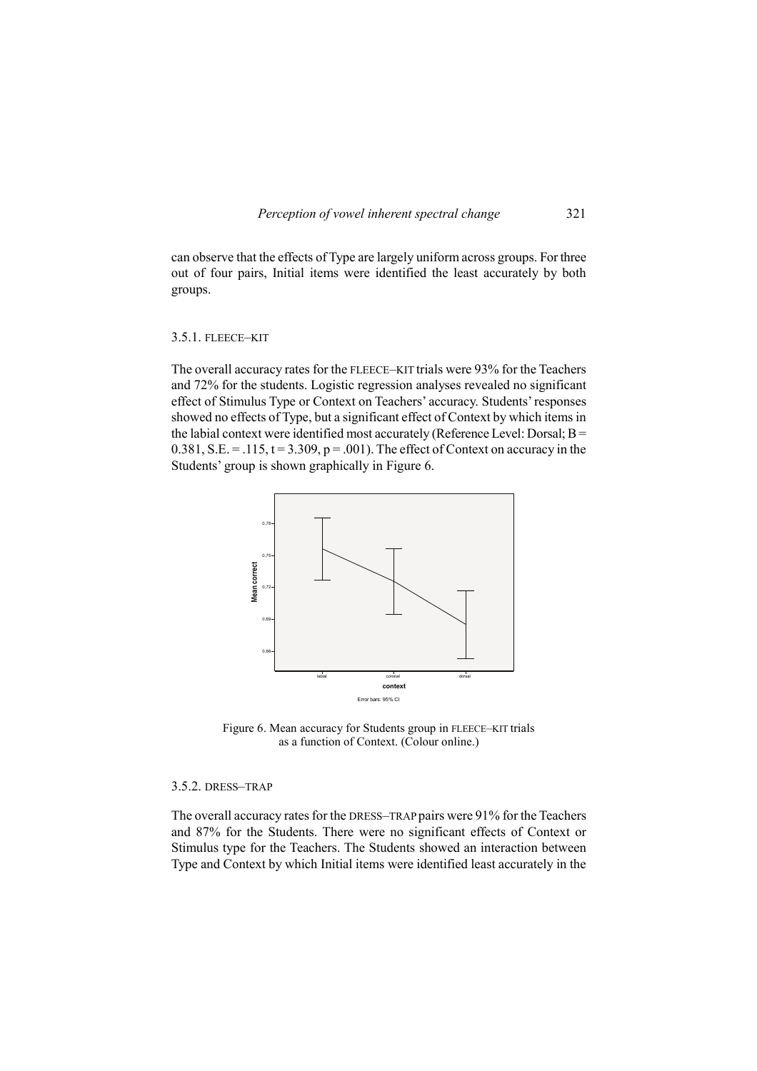can observe that the effects of Type are largely uniform across groups. For three out of four pairs, Initial items were identified the least accurately by both groups.

### 3.5.1. FLEECE–KIT

The overall accuracy rates for the FLEECE–KIT trials were 93% for the Teachers and 72% for the students. Logistic regression analyses revealed no significant effect of Stimulus Type or Context on Teachers' accuracy. Students' responses showed no effects of Type, but a significant effect of Context by which items in the labial context were identified most accurately (Reference Level: Dorsal;  $B =$ 0.381, S.E. = .115,  $t = 3.309$ ,  $p = .001$ ). The effect of Context on accuracy in the Students' group is shown graphically in Figure 6.



Figure 6. Mean accuracy for Students group in FLEECE–KIT trials as a function of Context. (Colour online.)

### 3.5.2. DRESS–TRAP

The overall accuracy rates for the DRESS–TRAP pairs were 91% for the Teachers and 87% for the Students. There were no significant effects of Context or Stimulus type for the Teachers. The Students showed an interaction between Type and Context by which Initial items were identified least accurately in the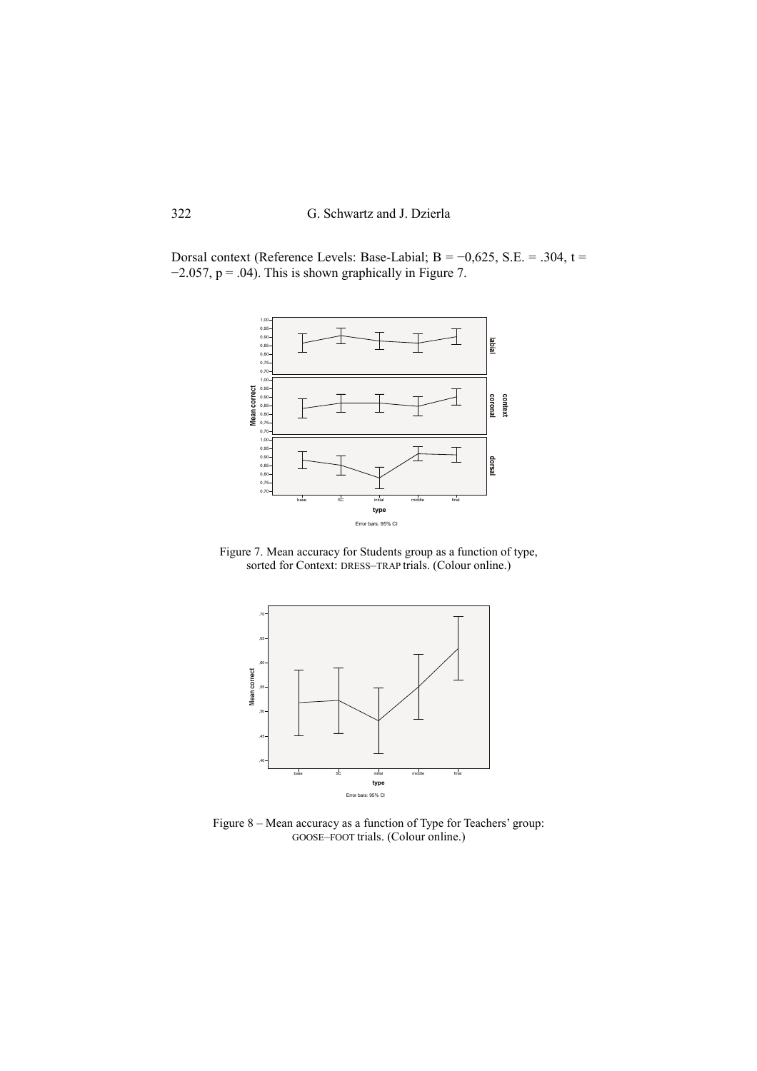Dorsal context (Reference Levels: Base-Labial; B =  $-0.625$ , S.E. = .304, t =  $-2.057$ , p = .04). This is shown graphically in Figure 7.



Figure 7. Mean accuracy for Students group as a function of type, sorted for Context: DRESS–TRAP trials. (Colour online.)



Figure 8 – Mean accuracy as a function of Type for Teachers' group: GOOSE–FOOT trials. (Colour online.)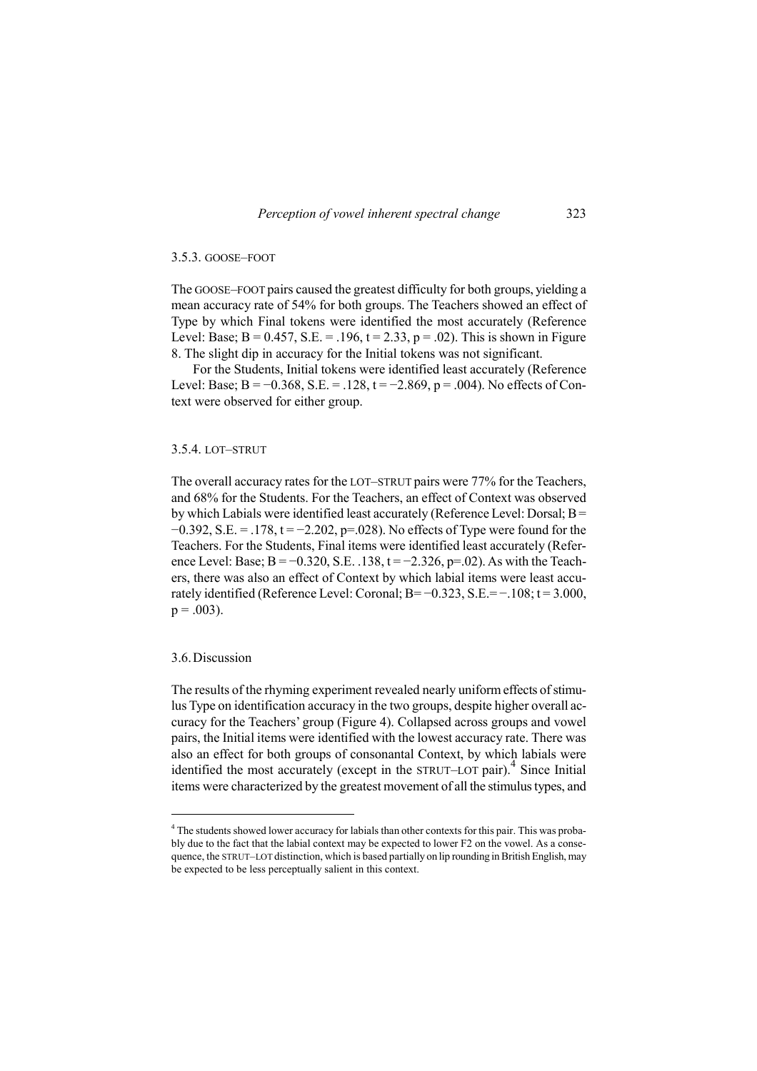## 3.5.3. GOOSE–FOOT

The GOOSE–FOOT pairs caused the greatest difficulty for both groups, yielding a mean accuracy rate of 54% for both groups. The Teachers showed an effect of Type by which Final tokens were identified the most accurately (Reference Level: Base;  $B = 0.457$ , S.E. = .196,  $t = 2.33$ ,  $p = .02$ ). This is shown in Figure 8. The slight dip in accuracy for the Initial tokens was not significant.

For the Students, Initial tokens were identified least accurately (Reference Level: Base; B =  $-0.368$ , S.E. = .128, t =  $-2.869$ , p = .004). No effects of Context were observed for either group.

#### 3.5.4. LOT–STRUT

The overall accuracy rates for the LOT–STRUT pairs were 77% for the Teachers, and 68% for the Students. For the Teachers, an effect of Context was observed by which Labials were identified least accurately (Reference Level: Dorsal; B =  $-0.392$ , S.E. = .178, t =  $-2.202$ , p=.028). No effects of Type were found for the Teachers. For the Students, Final items were identified least accurately (Reference Level: Base; B =  $-0.320$ , S.E. .138, t =  $-2.326$ , p=.02). As with the Teachers, there was also an effect of Context by which labial items were least accurately identified (Reference Level: Coronal; B= $-0.323$ , S.E.= $-108$ ; t = 3.000,  $p = .003$ ).

### 3.6.Discussion

-

The results of the rhyming experiment revealed nearly uniform effects of stimulus Type on identification accuracy in the two groups, despite higher overall accuracy for the Teachers' group (Figure 4). Collapsed across groups and vowel pairs, the Initial items were identified with the lowest accuracy rate. There was also an effect for both groups of consonantal Context, by which labials were identified the most accurately (except in the STRUT–LOT pair).<sup>4</sup> Since Initial items were characterized by the greatest movement of all the stimulus types, and

<sup>&</sup>lt;sup>4</sup> The students showed lower accuracy for labials than other contexts for this pair. This was probably due to the fact that the labial context may be expected to lower F2 on the vowel. As a consequence, the STRUT–LOT distinction, which is based partially on lip rounding in British English, may be expected to be less perceptually salient in this context.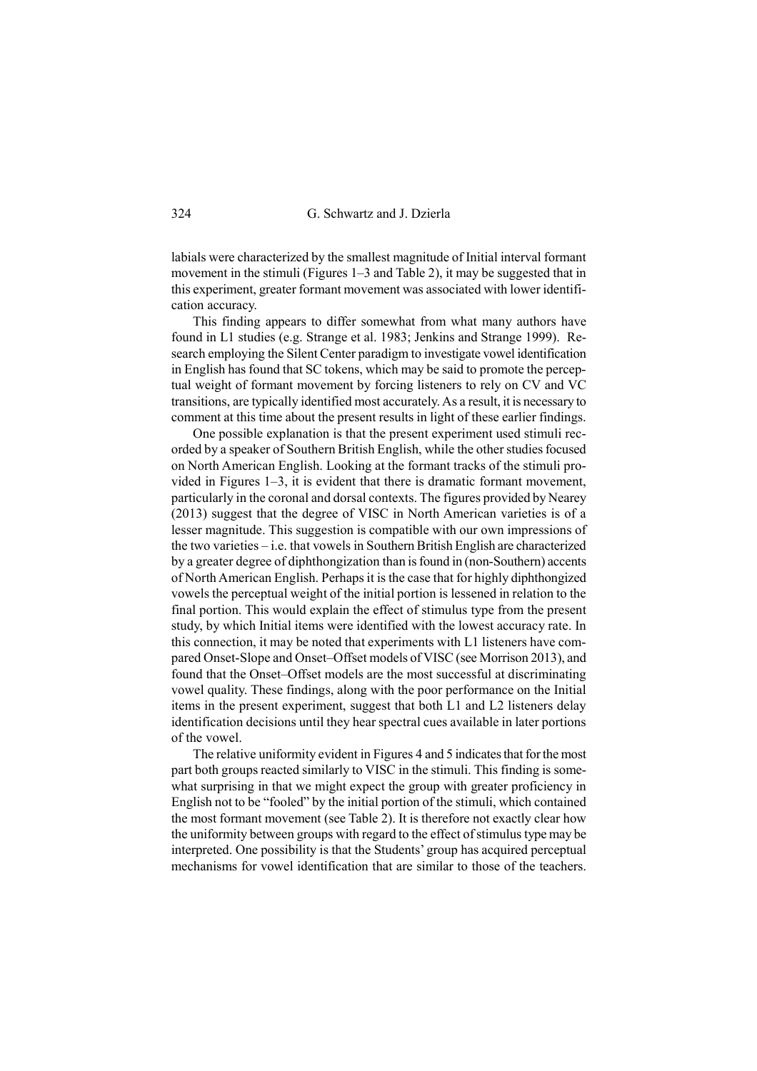labials were characterized by the smallest magnitude of Initial interval formant movement in the stimuli (Figures 1–3 and Table 2), it may be suggested that in this experiment, greater formant movement was associated with lower identification accuracy.

This finding appears to differ somewhat from what many authors have found in L1 studies (e.g. Strange et al. 1983; Jenkins and Strange 1999). Research employing the Silent Center paradigm to investigate vowel identification in English has found that SC tokens, which may be said to promote the perceptual weight of formant movement by forcing listeners to rely on CV and VC transitions, are typically identified most accurately. As a result, it is necessary to comment at this time about the present results in light of these earlier findings.

One possible explanation is that the present experiment used stimuli recorded by a speaker of Southern British English, while the other studies focused on North American English. Looking at the formant tracks of the stimuli provided in Figures 1–3, it is evident that there is dramatic formant movement, particularly in the coronal and dorsal contexts. The figures provided by Nearey (2013) suggest that the degree of VISC in North American varieties is of a lesser magnitude. This suggestion is compatible with our own impressions of the two varieties – i.e. that vowels in Southern British English are characterized by a greater degree of diphthongization than is found in (non-Southern) accents of North American English. Perhaps it is the case that for highly diphthongized vowels the perceptual weight of the initial portion is lessened in relation to the final portion. This would explain the effect of stimulus type from the present study, by which Initial items were identified with the lowest accuracy rate. In this connection, it may be noted that experiments with L1 listeners have compared Onset-Slope and Onset–Offset models of VISC (see Morrison 2013), and found that the Onset–Offset models are the most successful at discriminating vowel quality. These findings, along with the poor performance on the Initial items in the present experiment, suggest that both L1 and L2 listeners delay identification decisions until they hear spectral cues available in later portions of the vowel.

The relative uniformity evident in Figures 4 and 5 indicates that for the most part both groups reacted similarly to VISC in the stimuli. This finding is somewhat surprising in that we might expect the group with greater proficiency in English not to be "fooled" by the initial portion of the stimuli, which contained the most formant movement (see Table 2). It is therefore not exactly clear how the uniformity between groups with regard to the effect of stimulus type may be interpreted. One possibility is that the Students' group has acquired perceptual mechanisms for vowel identification that are similar to those of the teachers.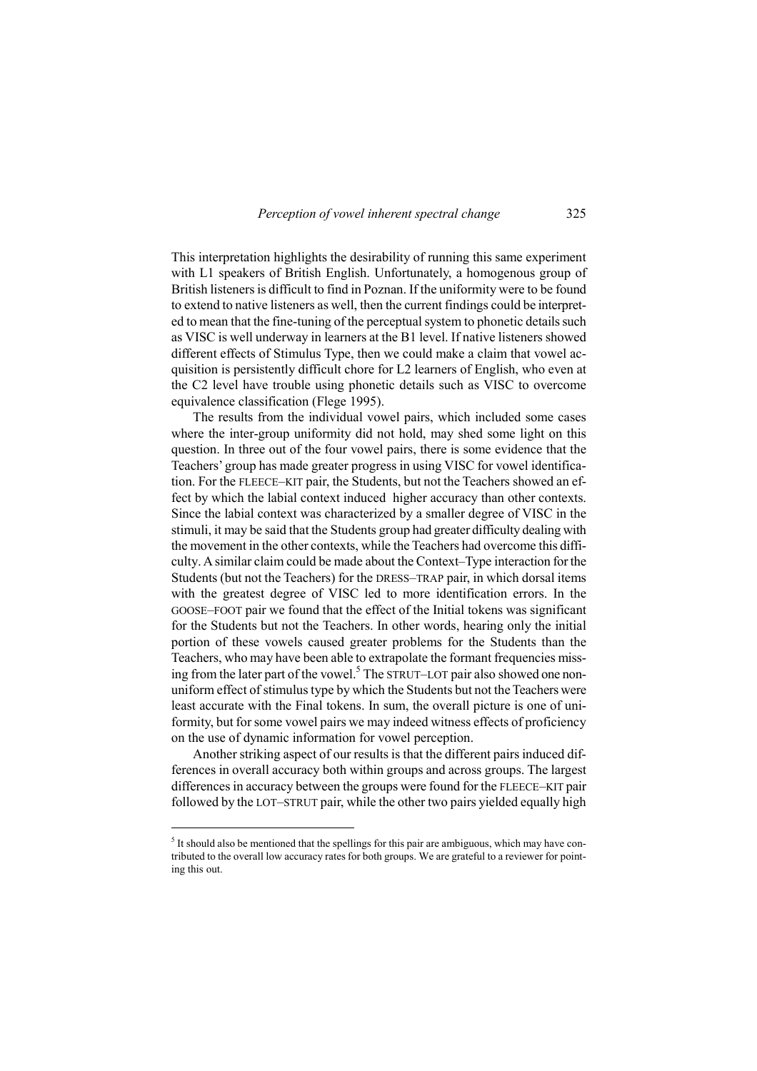This interpretation highlights the desirability of running this same experiment with L1 speakers of British English. Unfortunately, a homogenous group of British listeners is difficult to find in Poznan. If the uniformity were to be found to extend to native listeners as well, then the current findings could be interpreted to mean that the fine-tuning of the perceptual system to phonetic details such as VISC is well underway in learners at the B1 level. If native listeners showed different effects of Stimulus Type, then we could make a claim that vowel acquisition is persistently difficult chore for L2 learners of English, who even at the C2 level have trouble using phonetic details such as VISC to overcome equivalence classification (Flege 1995).

The results from the individual vowel pairs, which included some cases where the inter-group uniformity did not hold, may shed some light on this question. In three out of the four vowel pairs, there is some evidence that the Teachers' group has made greater progress in using VISC for vowel identification. For the FLEECE–KIT pair, the Students, but not the Teachers showed an effect by which the labial context induced higher accuracy than other contexts. Since the labial context was characterized by a smaller degree of VISC in the stimuli, it may be said that the Students group had greater difficulty dealing with the movement in the other contexts, while the Teachers had overcome this difficulty. A similar claim could be made about the Context–Type interaction for the Students (but not the Teachers) for the DRESS–TRAP pair, in which dorsal items with the greatest degree of VISC led to more identification errors. In the GOOSE–FOOT pair we found that the effect of the Initial tokens was significant for the Students but not the Teachers. In other words, hearing only the initial portion of these vowels caused greater problems for the Students than the Teachers, who may have been able to extrapolate the formant frequencies missing from the later part of the vowel.<sup>5</sup> The STRUT-LOT pair also showed one nonuniform effect of stimulus type by which the Students but not the Teachers were least accurate with the Final tokens. In sum, the overall picture is one of uniformity, but for some vowel pairs we may indeed witness effects of proficiency on the use of dynamic information for vowel perception.

Another striking aspect of our results is that the different pairs induced differences in overall accuracy both within groups and across groups. The largest differences in accuracy between the groups were found for the FLEECE–KIT pair followed by the LOT–STRUT pair, while the other two pairs yielded equally high

-

 $<sup>5</sup>$  It should also be mentioned that the spellings for this pair are ambiguous, which may have con-</sup> tributed to the overall low accuracy rates for both groups. We are grateful to a reviewer for pointing this out.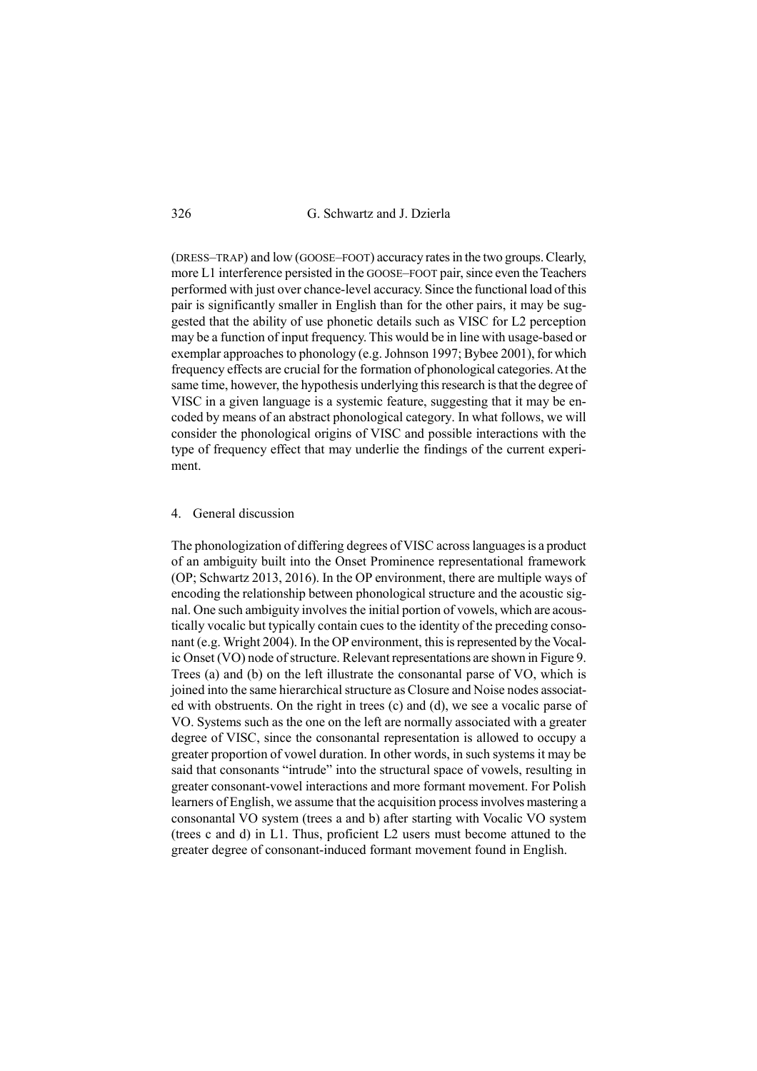(DRESS–TRAP) and low (GOOSE–FOOT) accuracy rates in the two groups. Clearly, more L1 interference persisted in the GOOSE–FOOT pair, since even the Teachers performed with just over chance-level accuracy. Since the functional load of this pair is significantly smaller in English than for the other pairs, it may be suggested that the ability of use phonetic details such as VISC for L2 perception may be a function of input frequency. This would be in line with usage-based or exemplar approaches to phonology (e.g. Johnson 1997; Bybee 2001), for which frequency effects are crucial for the formation of phonological categories. At the same time, however, the hypothesis underlying this research is that the degree of VISC in a given language is a systemic feature, suggesting that it may be encoded by means of an abstract phonological category. In what follows, we will consider the phonological origins of VISC and possible interactions with the type of frequency effect that may underlie the findings of the current experiment.

### 4. General discussion

The phonologization of differing degrees of VISC across languages is a product of an ambiguity built into the Onset Prominence representational framework (OP; Schwartz 2013, 2016). In the OP environment, there are multiple ways of encoding the relationship between phonological structure and the acoustic signal. One such ambiguity involves the initial portion of vowels, which are acoustically vocalic but typically contain cues to the identity of the preceding consonant (e.g. Wright 2004). In the OP environment, this is represented by the Vocalic Onset (VO) node of structure. Relevant representations are shown in Figure 9. Trees (a) and (b) on the left illustrate the consonantal parse of VO, which is joined into the same hierarchical structure as Closure and Noise nodes associated with obstruents. On the right in trees (c) and (d), we see a vocalic parse of VO. Systems such as the one on the left are normally associated with a greater degree of VISC, since the consonantal representation is allowed to occupy a greater proportion of vowel duration. In other words, in such systems it may be said that consonants "intrude" into the structural space of vowels, resulting in greater consonant-vowel interactions and more formant movement. For Polish learners of English, we assume that the acquisition process involves mastering a consonantal VO system (trees a and b) after starting with Vocalic VO system (trees c and d) in L1. Thus, proficient L2 users must become attuned to the greater degree of consonant-induced formant movement found in English.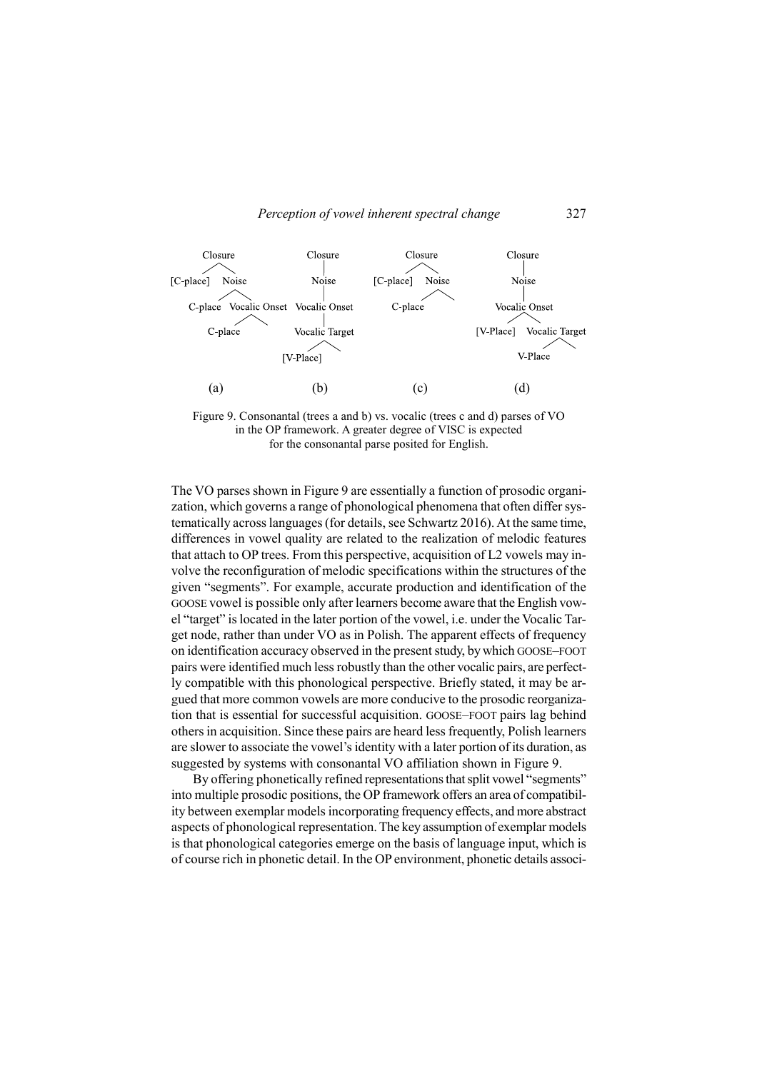

Figure 9. Consonantal (trees a and b) vs. vocalic (trees c and d) parses of VO in the OP framework. A greater degree of VISC is expected for the consonantal parse posited for English.

The VO parses shown in Figure 9 are essentially a function of prosodic organization, which governs a range of phonological phenomena that often differ systematically across languages (for details, see Schwartz 2016). At the same time, differences in vowel quality are related to the realization of melodic features that attach to OP trees. From this perspective, acquisition of L2 vowels may involve the reconfiguration of melodic specifications within the structures of the given "segments". For example, accurate production and identification of the GOOSE vowel is possible only after learners become aware that the English vowel "target" is located in the later portion of the vowel, i.e. under the Vocalic Target node, rather than under VO as in Polish. The apparent effects of frequency on identification accuracy observed in the present study, by which GOOSE–FOOT pairs were identified much less robustly than the other vocalic pairs, are perfectly compatible with this phonological perspective. Briefly stated, it may be argued that more common vowels are more conducive to the prosodic reorganization that is essential for successful acquisition. GOOSE–FOOT pairs lag behind others in acquisition. Since these pairs are heard less frequently, Polish learners are slower to associate the vowel's identity with a later portion of its duration, as suggested by systems with consonantal VO affiliation shown in Figure 9.

By offering phonetically refined representations that split vowel "segments" into multiple prosodic positions, the OP framework offers an area of compatibility between exemplar models incorporating frequency effects, and more abstract aspects of phonological representation. The key assumption of exemplar models is that phonological categories emerge on the basis of language input, which is of course rich in phonetic detail. In the OP environment, phonetic details associ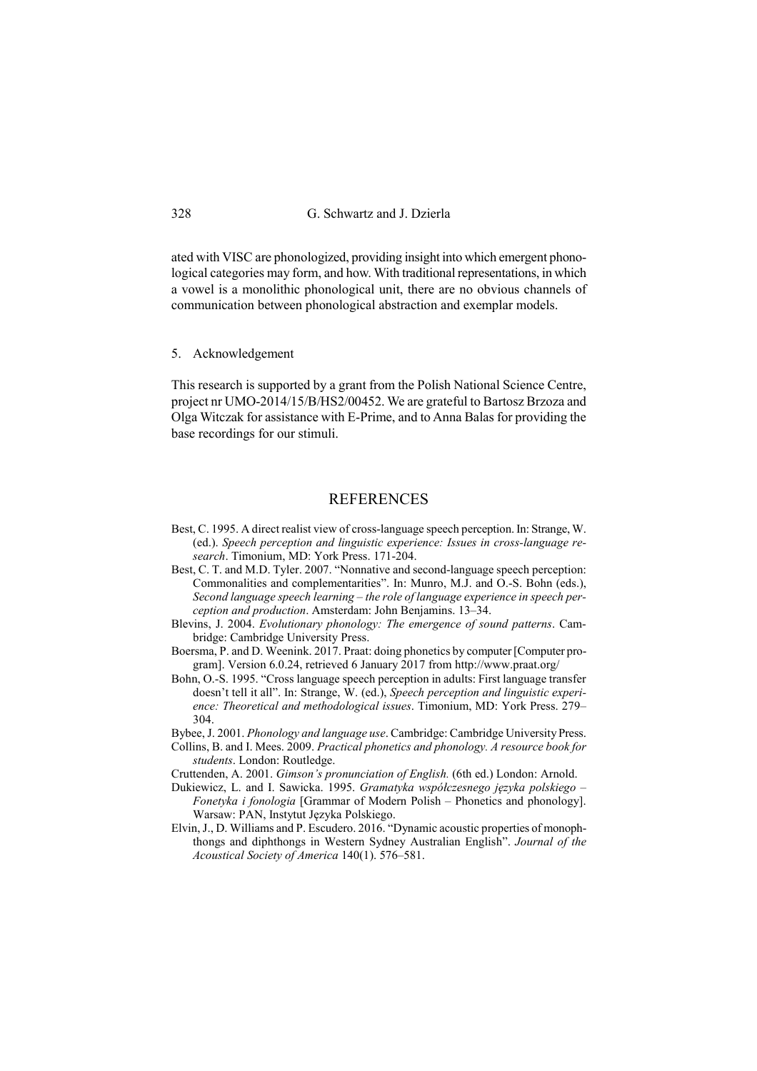ated with VISC are phonologized, providing insight into which emergent phonological categories may form, and how. With traditional representations, in which a vowel is a monolithic phonological unit, there are no obvious channels of communication between phonological abstraction and exemplar models.

5. Acknowledgement

This research is supported by a grant from the Polish National Science Centre, project nr UMO-2014/15/B/HS2/00452. We are grateful to Bartosz Brzoza and Olga Witczak for assistance with E-Prime, and to Anna Balas for providing the base recordings for our stimuli.

## **REFERENCES**

- Best, C. 1995. A direct realist view of cross-language speech perception. In: Strange, W. (ed.). *Speech perception and linguistic experience: Issues in cross-language research*. Timonium, MD: York Press. 171-204.
- Best, C. T. and M.D. Tyler. 2007. "Nonnative and second-language speech perception: Commonalities and complementarities". In: Munro, M.J. and O.-S. Bohn (eds.), *Second language speech learning – the role of language experience in speech perception and production*. Amsterdam: John Benjamins. 13–34.
- Blevins, J. 2004. *Evolutionary phonology: The emergence of sound patterns*. Cambridge: Cambridge University Press.
- Boersma, P. and D. Weenink. 2017. Praat: doing phonetics by computer [Computer program]. Version 6.0.24, retrieved 6 January 2017 from http://www.praat.org/
- Bohn, O.-S. 1995. "Cross language speech perception in adults: First language transfer doesn't tell it all". In: Strange, W. (ed.), *Speech perception and linguistic experience: Theoretical and methodological issues*. Timonium, MD: York Press. 279– 304.
- Bybee, J. 2001. *Phonology and language use*. Cambridge: Cambridge University Press.
- Collins, B. and I. Mees. 2009. *Practical phonetics and phonology. A resource book for students*. London: Routledge.
- Cruttenden, A. 2001. *Gimson's pronunciation of English.* (6th ed.) London: Arnold.
- Dukiewicz, L. and I. Sawicka. 1995. *Gramatyka współczesnego języka polskiego Fonetyka i fonologia* [Grammar of Modern Polish – Phonetics and phonology]. Warsaw: PAN, Instytut Języka Polskiego.
- Elvin, J., D. Williams and P. Escudero. 2016. "Dynamic acoustic properties of monophthongs and diphthongs in Western Sydney Australian English". *Journal of the Acoustical Society of America* 140(1). 576–581.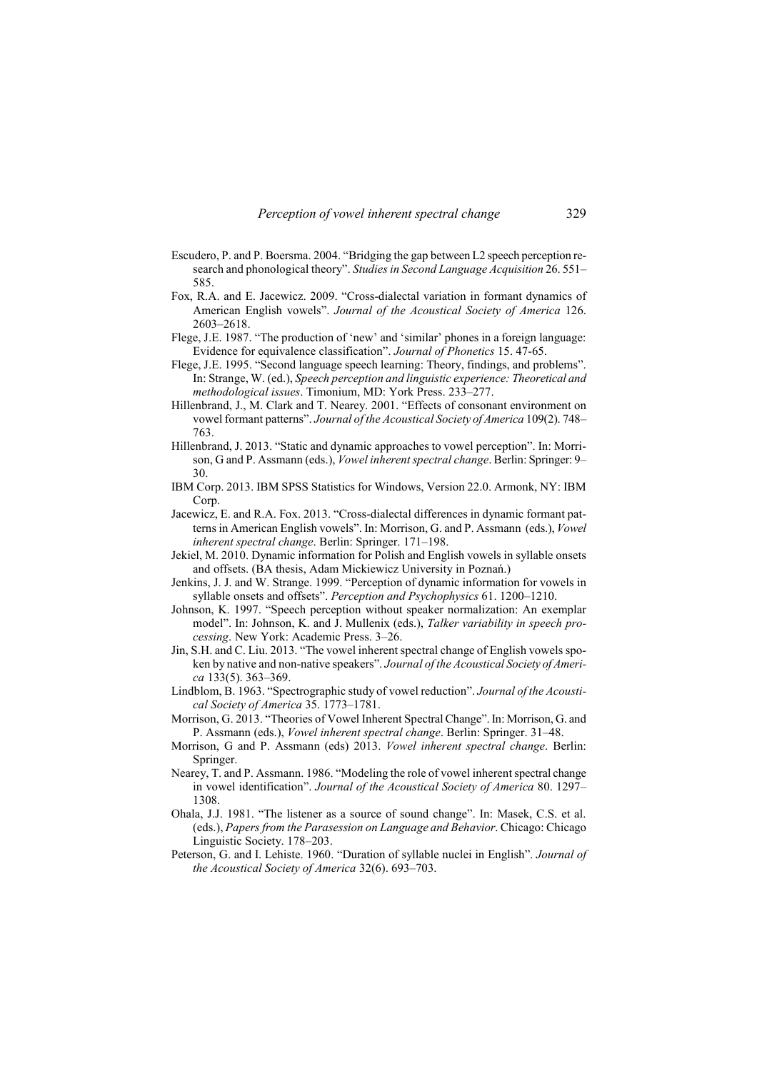- Escudero, P. and P. Boersma. 2004. "Bridging the gap between L2 speech perception research and phonological theory". *Studies in Second Language Acquisition* 26. 551– 585.
- Fox, R.A. and E. Jacewicz. 2009. "Cross-dialectal variation in formant dynamics of American English vowels". *Journal of the Acoustical Society of America* 126. 2603–2618.
- Flege, J.E. 1987. "The production of 'new' and 'similar' phones in a foreign language: Evidence for equivalence classification". *Journal of Phonetics* 15. 47-65.
- Flege, J.E. 1995. "Second language speech learning: Theory, findings, and problems". In: Strange, W. (ed.), *Speech perception and linguistic experience: Theoretical and methodological issues*. Timonium, MD: York Press. 233–277.
- Hillenbrand, J., M. Clark and T. Nearey. 2001. "Effects of consonant environment on vowel formant patterns". *Journal of the Acoustical Society of America* 109(2). 748– 763.
- Hillenbrand, J. 2013. "Static and dynamic approaches to vowel perception". In: Morrison, G and P. Assmann (eds.), *Vowel inherent spectral change*. Berlin: Springer: 9– 30.
- IBM Corp. 2013. IBM SPSS Statistics for Windows, Version 22.0. Armonk, NY: IBM Corp.
- Jacewicz, E. and R.A. Fox. 2013. "Cross-dialectal differences in dynamic formant patterns in American English vowels". In: Morrison, G. and P. Assmann (eds.), *Vowel inherent spectral change*. Berlin: Springer. 171–198.
- Jekiel, M. 2010. Dynamic information for Polish and English vowels in syllable onsets and offsets. (BA thesis, Adam Mickiewicz University in Poznań.)
- Jenkins, J. J. and W. Strange. 1999. "Perception of dynamic information for vowels in syllable onsets and offsets". *Perception and Psychophysics* 61. 1200–1210.
- Johnson, K. 1997. "Speech perception without speaker normalization: An exemplar model". In: Johnson, K. and J. Mullenix (eds.), *Talker variability in speech processing*. New York: Academic Press. 3–26.
- Jin, S.H. and C. Liu. 2013. "The vowel inherent spectral change of English vowels spoken by native and non-native speakers". *Journal of the Acoustical Society of America* 133(5). 363–369.
- Lindblom, B. 1963. "Spectrographic study of vowel reduction". *Journal of the Acoustical Society of America* 35. 1773–1781.
- Morrison, G. 2013. "Theories of Vowel Inherent Spectral Change". In: Morrison, G. and P. Assmann (eds.), *Vowel inherent spectral change*. Berlin: Springer. 31–48.
- Morrison, G and P. Assmann (eds) 2013. *Vowel inherent spectral change*. Berlin: Springer.
- Nearey, T. and P. Assmann. 1986. "Modeling the role of vowel inherent spectral change in vowel identification". *Journal of the Acoustical Society of America* 80. 1297– 1308.
- Ohala, J.J. 1981. "The listener as a source of sound change". In: Masek, C.S. et al. (eds.), *Papers from the Parasession on Language and Behavior*. Chicago: Chicago Linguistic Society. 178–203.
- Peterson, G. and I. Lehiste. 1960. "Duration of syllable nuclei in English". *Journal of the Acoustical Society of America* 32(6). 693–703.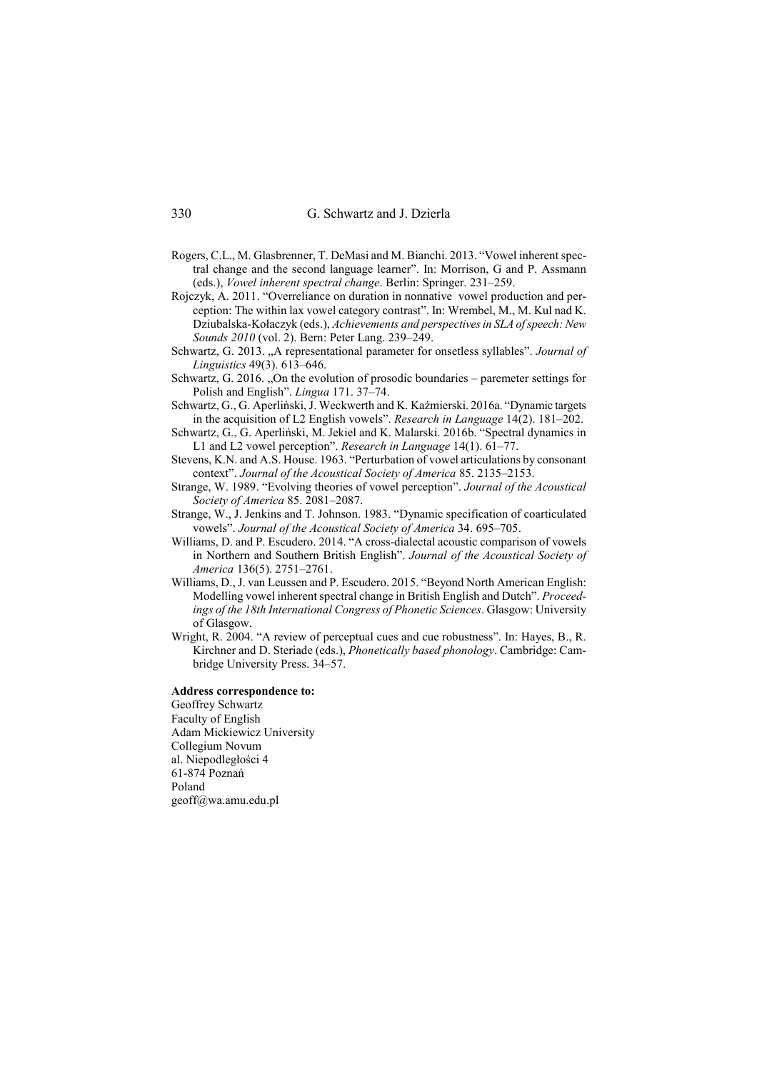- Rogers, C.L., M. Glasbrenner, T. DeMasi and M. Bianchi. 2013. "Vowel inherent spectral change and the second language learner". In: Morrison, G and P. Assmann (eds.), *Vowel inherent spectral change*. Berlin: Springer. 231–259.
- Rojczyk, A. 2011. "Overreliance on duration in nonnative vowel production and perception: The within lax vowel category contrast". In: Wrembel, M., M. Kul nad K. Dziubalska-Kołaczyk (eds.), *Achievements and perspectives in SLA of speech: New Sounds 2010* (vol. 2). Bern: Peter Lang. 239–249.
- Schwartz, G. 2013. "A representational parameter for onsetless syllables". *Journal of Linguistics* 49(3). 613–646.
- Schwartz, G. 2016. "On the evolution of prosodic boundaries paremeter settings for Polish and English". *Lingua* 171. 37–74.
- Schwartz, G., G. Aperliński, J. Weckwerth and K. Kaźmierski. 2016a. "Dynamic targets in the acquisition of L2 English vowels". *Research in Language* 14(2). 181–202.
- Schwartz, G., G. Aperliński, M. Jekiel and K. Malarski. 2016b. "Spectral dynamics in L1 and L2 vowel perception". *Research in Language* 14(1). 61–77.
- Stevens, K.N. and A.S. House. 1963. "Perturbation of vowel articulations by consonant context". *Journal of the Acoustical Society of America* 85. 2135–2153.
- Strange, W. 1989. "Evolving theories of vowel perception". *Journal of the Acoustical Society of America* 85. 2081–2087.
- Strange, W., J. Jenkins and T. Johnson. 1983. "Dynamic specification of coarticulated vowels". *Journal of the Acoustical Society of America* 34. 695–705.
- Williams, D. and P. Escudero. 2014. "A cross-dialectal acoustic comparison of vowels in Northern and Southern British English". *Journal of the Acoustical Society of America* 136(5). 2751–2761.
- Williams, D., J. van Leussen and P. Escudero. 2015. "Beyond North American English: Modelling vowel inherent spectral change in British English and Dutch". *Proceedings of the 18th International Congress of Phonetic Sciences*. Glasgow: University of Glasgow.
- Wright, R. 2004. "A review of perceptual cues and cue robustness". In: Hayes, B., R. Kirchner and D. Steriade (eds.), *Phonetically based phonology*. Cambridge: Cambridge University Press. 34–57.

#### **Address correspondence to:**

Geoffrey Schwartz Faculty of English Adam Mickiewicz University Collegium Novum al. Niepodległości 4 61-874 Poznań Poland geoff@wa.amu.edu.pl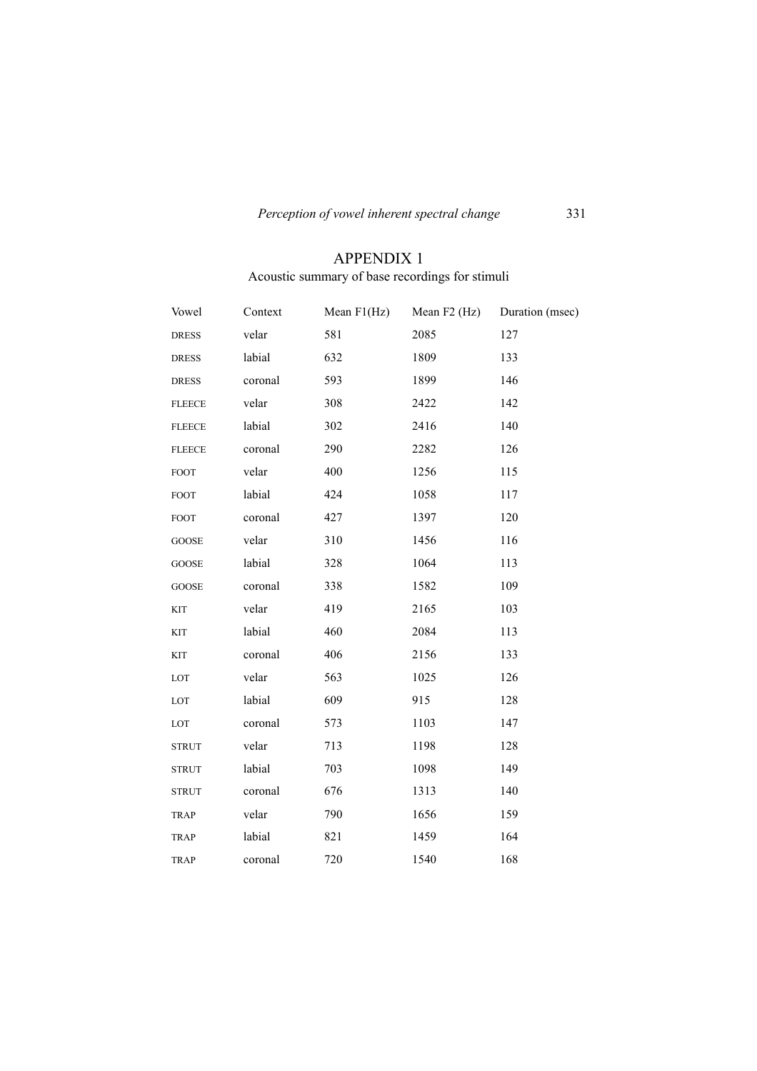## APPENDIX 1 Acoustic summary of base recordings for stimuli

| Vowel         | Context | Mean $F1(Hz)$ | Mean F <sub>2</sub> (Hz) | Duration (msec) |
|---------------|---------|---------------|--------------------------|-----------------|
| <b>DRESS</b>  | velar   | 581           | 2085                     | 127             |
| <b>DRESS</b>  | labial  | 632           | 1809                     | 133             |
| <b>DRESS</b>  | coronal | 593           | 1899                     | 146             |
| <b>FLEECE</b> | velar   | 308           | 2422                     | 142             |
| <b>FLEECE</b> | labial  | 302           | 2416                     | 140             |
| <b>FLEECE</b> | coronal | 290           | 2282                     | 126             |
| FOOT          | velar   | 400           | 1256                     | 115             |
| <b>FOOT</b>   | labial  | 424           | 1058                     | 117             |
| FOOT          | coronal | 427           | 1397                     | 120             |
| <b>GOOSE</b>  | velar   | 310           | 1456                     | 116             |
| <b>GOOSE</b>  | labial  | 328           | 1064                     | 113             |
| <b>GOOSE</b>  | coronal | 338           | 1582                     | 109             |
| <b>KIT</b>    | velar   | 419           | 2165                     | 103             |
| <b>KIT</b>    | labial  | 460           | 2084                     | 113             |
| <b>KIT</b>    | coronal | 406           | 2156                     | 133             |
| $_{\rm LOT}$  | velar   | 563           | 1025                     | 126             |
| LOT           | labial  | 609           | 915                      | 128             |
| LOT           | coronal | 573           | 1103                     | 147             |
| <b>STRUT</b>  | velar   | 713           | 1198                     | 128             |
| <b>STRUT</b>  | labial  | 703           | 1098                     | 149             |
| <b>STRUT</b>  | coronal | 676           | 1313                     | 140             |
| <b>TRAP</b>   | velar   | 790           | 1656                     | 159             |
| <b>TRAP</b>   | labial  | 821           | 1459                     | 164             |
| <b>TRAP</b>   | coronal | 720           | 1540                     | 168             |